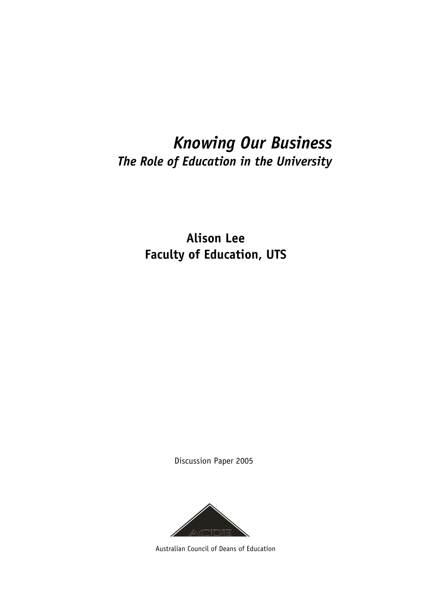# *Knowing Our Business The Role of Education in the University*

**Alison Lee Faculty of Education, UTS** 

Discussion Paper 2005



Australian Council of Deans of Education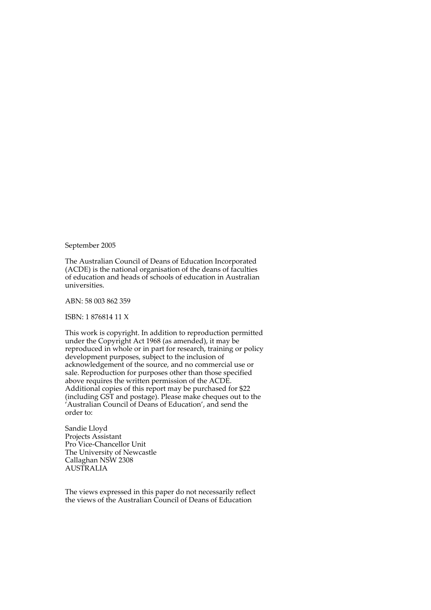September 2005

The Australian Council of Deans of Education Incorporated (ACDE) is the national organisation of the deans of faculties of education and heads of schools of education in Australian universities.

ABN: 58 003 862 359

ISBN: 1 876814 11 X

This work is copyright. In addition to reproduction permitted under the Copyright Act 1968 (as amended), it may be reproduced in whole or in part for research, training or policy development purposes, subject to the inclusion of acknowledgement of the source, and no commercial use or sale. Reproduction for purposes other than those specified above requires the written permission of the ACDE. Additional copies of this report may be purchased for \$22 (including GST and postage). Please make cheques out to the 'Australian Council of Deans of Education', and send the order to:

Sandie Lloyd Projects Assistant Pro Vice-Chancellor Unit The University of Newcastle Callaghan NSW 2308 AUSTRALIA

The views expressed in this paper do not necessarily reflect the views of the Australian Council of Deans of Education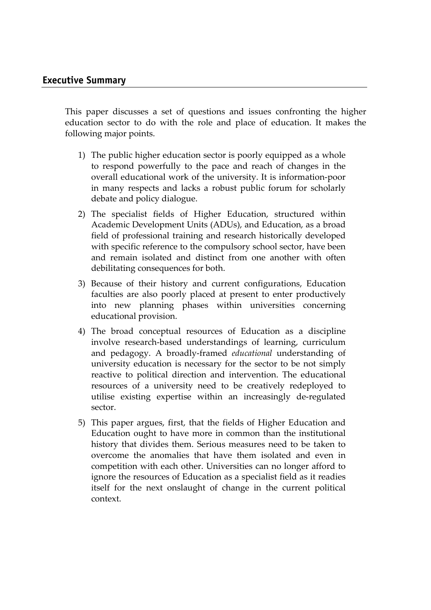This paper discusses a set of questions and issues confronting the higher education sector to do with the role and place of education. It makes the following major points.

- 1) The public higher education sector is poorly equipped as a whole to respond powerfully to the pace and reach of changes in the overall educational work of the university. It is information-poor in many respects and lacks a robust public forum for scholarly debate and policy dialogue.
- 2) The specialist fields of Higher Education, structured within Academic Development Units (ADUs), and Education, as a broad field of professional training and research historically developed with specific reference to the compulsory school sector, have been and remain isolated and distinct from one another with often debilitating consequences for both.
- 3) Because of their history and current configurations, Education faculties are also poorly placed at present to enter productively into new planning phases within universities concerning educational provision.
- 4) The broad conceptual resources of Education as a discipline involve research-based understandings of learning, curriculum and pedagogy. A broadly-framed *educational* understanding of university education is necessary for the sector to be not simply reactive to political direction and intervention. The educational resources of a university need to be creatively redeployed to utilise existing expertise within an increasingly de-regulated sector.
- 5) This paper argues, first, that the fields of Higher Education and Education ought to have more in common than the institutional history that divides them. Serious measures need to be taken to overcome the anomalies that have them isolated and even in competition with each other. Universities can no longer afford to ignore the resources of Education as a specialist field as it readies itself for the next onslaught of change in the current political context.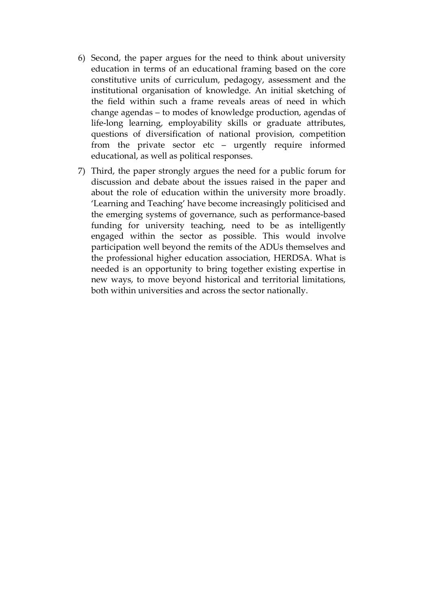- 6) Second, the paper argues for the need to think about university education in terms of an educational framing based on the core constitutive units of curriculum, pedagogy, assessment and the institutional organisation of knowledge. An initial sketching of the field within such a frame reveals areas of need in which change agendas – to modes of knowledge production, agendas of life-long learning, employability skills or graduate attributes, questions of diversification of national provision, competition from the private sector etc – urgently require informed educational, as well as political responses.
- 7) Third, the paper strongly argues the need for a public forum for discussion and debate about the issues raised in the paper and about the role of education within the university more broadly. 'Learning and Teaching' have become increasingly politicised and the emerging systems of governance, such as performance-based funding for university teaching, need to be as intelligently engaged within the sector as possible. This would involve participation well beyond the remits of the ADUs themselves and the professional higher education association, HERDSA. What is needed is an opportunity to bring together existing expertise in new ways, to move beyond historical and territorial limitations, both within universities and across the sector nationally.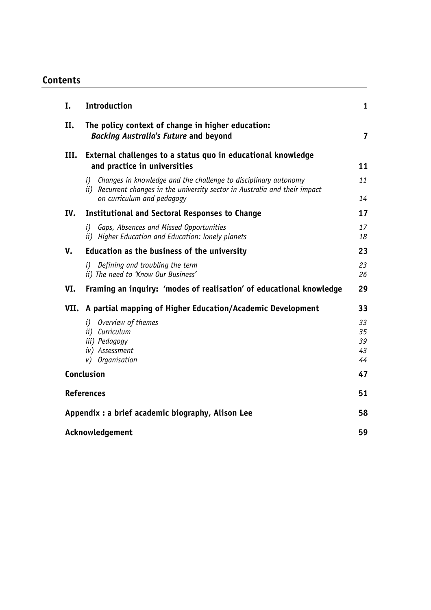# **Contents**

| I.                                                | <b>Introduction</b>                                                                                                                                                              | 1                          |
|---------------------------------------------------|----------------------------------------------------------------------------------------------------------------------------------------------------------------------------------|----------------------------|
| II.                                               | The policy context of change in higher education:<br><b>Backing Australia's Future and beyond</b>                                                                                | $\overline{\mathbf{z}}$    |
| III.                                              | External challenges to a status quo in educational knowledge<br>and practice in universities                                                                                     | 11                         |
|                                                   | i) Changes in knowledge and the challenge to disciplinary autonomy<br>ii) Recurrent changes in the university sector in Australia and their impact<br>on curriculum and pedagogy | 11<br>14                   |
| IV.                                               | <b>Institutional and Sectoral Responses to Change</b>                                                                                                                            | 17                         |
|                                                   | Gaps, Absences and Missed Opportunities<br>i)<br>ii) Higher Education and Education: lonely planets                                                                              | 17<br>18                   |
| V.                                                | Education as the business of the university                                                                                                                                      | 23                         |
|                                                   | Defining and troubling the term<br>i)<br>ii) The need to 'Know Our Business'                                                                                                     | 23<br>26                   |
| VI.                                               | Framing an inquiry: 'modes of realisation' of educational knowledge                                                                                                              | 29                         |
|                                                   | VII. A partial mapping of Higher Education/Academic Development                                                                                                                  | 33                         |
|                                                   | Overview of themes<br>i)<br>ii) Curriculum<br>iii) Pedagogy<br>iv) Assessment<br>v) Organisation                                                                                 | 33<br>35<br>39<br>43<br>44 |
|                                                   | Conclusion                                                                                                                                                                       |                            |
| <b>References</b>                                 |                                                                                                                                                                                  | 51                         |
| Appendix : a brief academic biography, Alison Lee |                                                                                                                                                                                  | 58                         |
| Acknowledgement                                   |                                                                                                                                                                                  | 59                         |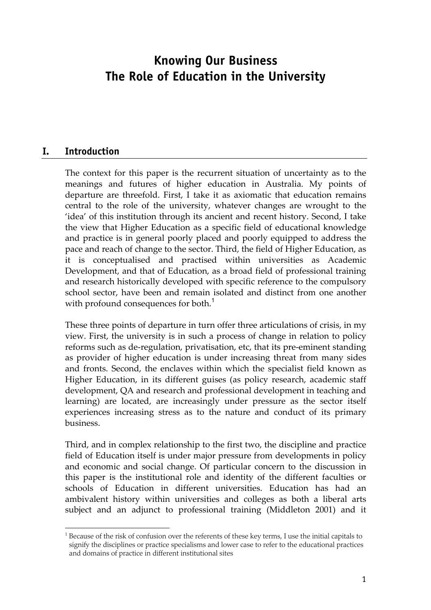# **Knowing Our Business The Role of Education in the University**

#### **I. Introduction**

The context for this paper is the recurrent situation of uncertainty as to the meanings and futures of higher education in Australia. My points of departure are threefold. First, I take it as axiomatic that education remains central to the role of the university, whatever changes are wrought to the 'idea' of this institution through its ancient and recent history. Second, I take the view that Higher Education as a specific field of educational knowledge and practice is in general poorly placed and poorly equipped to address the pace and reach of change to the sector. Third, the field of Higher Education, as it is conceptualised and practised within universities as Academic Development, and that of Education, as a broad field of professional training and research historically developed with specific reference to the compulsory school sector, have been and remain isolated and distinct from one another with profound consequences for both.<sup>1</sup>

These three points of departure in turn offer three articulations of crisis, in my view. First, the university is in such a process of change in relation to policy reforms such as de-regulation, privatisation, etc, that its pre-eminent standing as provider of higher education is under increasing threat from many sides and fronts. Second, the enclaves within which the specialist field known as Higher Education, in its different guises (as policy research, academic staff development, QA and research and professional development in teaching and learning) are located, are increasingly under pressure as the sector itself experiences increasing stress as to the nature and conduct of its primary business.

Third, and in complex relationship to the first two, the discipline and practice field of Education itself is under major pressure from developments in policy and economic and social change. Of particular concern to the discussion in this paper is the institutional role and identity of the different faculties or schools of Education in different universities. Education has had an ambivalent history within universities and colleges as both a liberal arts subject and an adjunct to professional training (Middleton 2001) and it

 $\overline{a}$  $^1$  Because of the risk of confusion over the referents of these key terms, I use the initial capitals to signify the disciplines or practice specialisms and lower case to refer to the educational practices and domains of practice in different institutional sites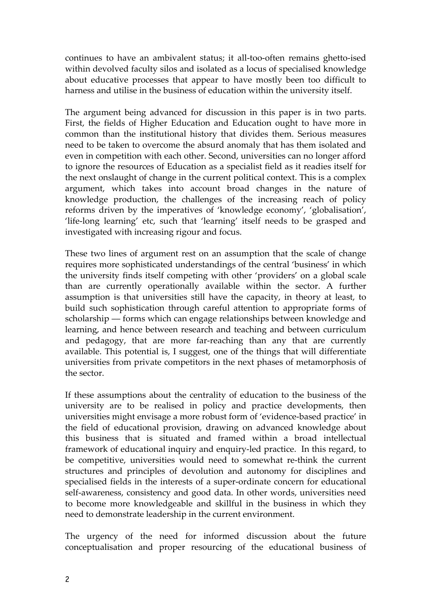continues to have an ambivalent status; it all-too-often remains ghetto-ised within devolved faculty silos and isolated as a locus of specialised knowledge about educative processes that appear to have mostly been too difficult to harness and utilise in the business of education within the university itself.

The argument being advanced for discussion in this paper is in two parts. First, the fields of Higher Education and Education ought to have more in common than the institutional history that divides them. Serious measures need to be taken to overcome the absurd anomaly that has them isolated and even in competition with each other. Second, universities can no longer afford to ignore the resources of Education as a specialist field as it readies itself for the next onslaught of change in the current political context. This is a complex argument, which takes into account broad changes in the nature of knowledge production, the challenges of the increasing reach of policy reforms driven by the imperatives of 'knowledge economy', 'globalisation', 'life-long learning' etc, such that 'learning' itself needs to be grasped and investigated with increasing rigour and focus.

These two lines of argument rest on an assumption that the scale of change requires more sophisticated understandings of the central 'business' in which the university finds itself competing with other 'providers' on a global scale than are currently operationally available within the sector. A further assumption is that universities still have the capacity, in theory at least, to build such sophistication through careful attention to appropriate forms of scholarship –– forms which can engage relationships between knowledge and learning, and hence between research and teaching and between curriculum and pedagogy, that are more far-reaching than any that are currently available. This potential is, I suggest, one of the things that will differentiate universities from private competitors in the next phases of metamorphosis of the sector.

If these assumptions about the centrality of education to the business of the university are to be realised in policy and practice developments, then universities might envisage a more robust form of 'evidence-based practice' in the field of educational provision, drawing on advanced knowledge about this business that is situated and framed within a broad intellectual framework of educational inquiry and enquiry-led practice. In this regard, to be competitive, universities would need to somewhat re-think the current structures and principles of devolution and autonomy for disciplines and specialised fields in the interests of a super-ordinate concern for educational self-awareness, consistency and good data. In other words, universities need to become more knowledgeable and skillful in the business in which they need to demonstrate leadership in the current environment.

The urgency of the need for informed discussion about the future conceptualisation and proper resourcing of the educational business of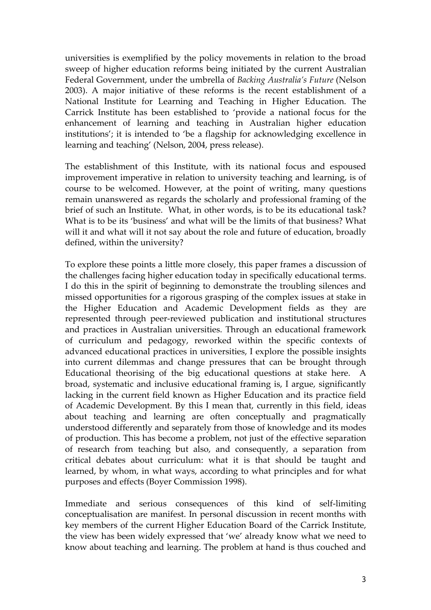universities is exemplified by the policy movements in relation to the broad sweep of higher education reforms being initiated by the current Australian Federal Government, under the umbrella of *Backing Australia's Future* (Nelson 2003). A major initiative of these reforms is the recent establishment of a National Institute for Learning and Teaching in Higher Education. The Carrick Institute has been established to 'provide a national focus for the enhancement of learning and teaching in Australian higher education institutions'; it is intended to 'be a flagship for acknowledging excellence in learning and teaching' (Nelson, 2004, press release).

The establishment of this Institute, with its national focus and espoused improvement imperative in relation to university teaching and learning, is of course to be welcomed. However, at the point of writing, many questions remain unanswered as regards the scholarly and professional framing of the brief of such an Institute. What, in other words, is to be its educational task? What is to be its 'business' and what will be the limits of that business? What will it and what will it not say about the role and future of education, broadly defined, within the university?

To explore these points a little more closely, this paper frames a discussion of the challenges facing higher education today in specifically educational terms. I do this in the spirit of beginning to demonstrate the troubling silences and missed opportunities for a rigorous grasping of the complex issues at stake in the Higher Education and Academic Development fields as they are represented through peer-reviewed publication and institutional structures and practices in Australian universities. Through an educational framework of curriculum and pedagogy, reworked within the specific contexts of advanced educational practices in universities, I explore the possible insights into current dilemmas and change pressures that can be brought through Educational theorising of the big educational questions at stake here. A broad, systematic and inclusive educational framing is, I argue, significantly lacking in the current field known as Higher Education and its practice field of Academic Development. By this I mean that, currently in this field, ideas about teaching and learning are often conceptually and pragmatically understood differently and separately from those of knowledge and its modes of production. This has become a problem, not just of the effective separation of research from teaching but also, and consequently, a separation from critical debates about curriculum: what it is that should be taught and learned, by whom, in what ways, according to what principles and for what purposes and effects (Boyer Commission 1998).

Immediate and serious consequences of this kind of self-limiting conceptualisation are manifest. In personal discussion in recent months with key members of the current Higher Education Board of the Carrick Institute, the view has been widely expressed that 'we' already know what we need to know about teaching and learning. The problem at hand is thus couched and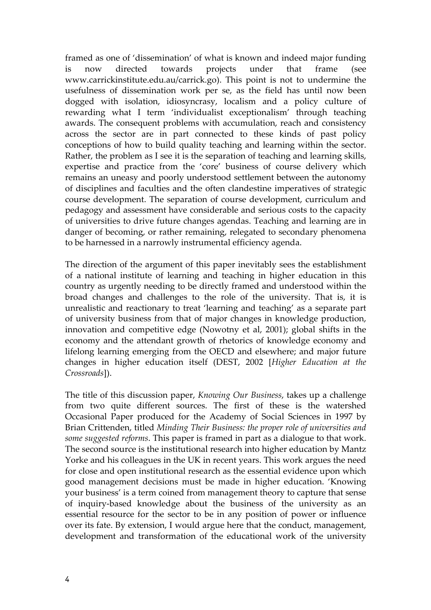framed as one of 'dissemination' of what is known and indeed major funding is now directed towards projects under that frame (see www.carrickinstitute.edu.au/carrick.go). This point is not to undermine the usefulness of dissemination work per se, as the field has until now been dogged with isolation, idiosyncrasy, localism and a policy culture of rewarding what I term 'individualist exceptionalism' through teaching awards. The consequent problems with accumulation, reach and consistency across the sector are in part connected to these kinds of past policy conceptions of how to build quality teaching and learning within the sector. Rather, the problem as I see it is the separation of teaching and learning skills, expertise and practice from the 'core' business of course delivery which remains an uneasy and poorly understood settlement between the autonomy of disciplines and faculties and the often clandestine imperatives of strategic course development. The separation of course development, curriculum and pedagogy and assessment have considerable and serious costs to the capacity of universities to drive future changes agendas. Teaching and learning are in danger of becoming, or rather remaining, relegated to secondary phenomena to be harnessed in a narrowly instrumental efficiency agenda.

The direction of the argument of this paper inevitably sees the establishment of a national institute of learning and teaching in higher education in this country as urgently needing to be directly framed and understood within the broad changes and challenges to the role of the university. That is, it is unrealistic and reactionary to treat 'learning and teaching' as a separate part of university business from that of major changes in knowledge production, innovation and competitive edge (Nowotny et al, 2001); global shifts in the economy and the attendant growth of rhetorics of knowledge economy and lifelong learning emerging from the OECD and elsewhere; and major future changes in higher education itself (DEST, 2002 [*Higher Education at the Crossroads*]).

The title of this discussion paper, *Knowing Our Business*, takes up a challenge from two quite different sources. The first of these is the watershed Occasional Paper produced for the Academy of Social Sciences in 1997 by Brian Crittenden, titled *Minding Their Business: the proper role of universities and some suggested reforms*. This paper is framed in part as a dialogue to that work. The second source is the institutional research into higher education by Mantz Yorke and his colleagues in the UK in recent years. This work argues the need for close and open institutional research as the essential evidence upon which good management decisions must be made in higher education. 'Knowing your business' is a term coined from management theory to capture that sense of inquiry-based knowledge about the business of the university as an essential resource for the sector to be in any position of power or influence over its fate. By extension, I would argue here that the conduct, management, development and transformation of the educational work of the university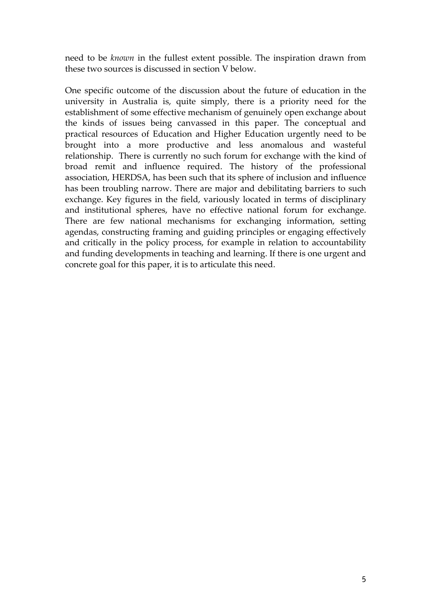need to be *known* in the fullest extent possible. The inspiration drawn from these two sources is discussed in section V below.

One specific outcome of the discussion about the future of education in the university in Australia is, quite simply, there is a priority need for the establishment of some effective mechanism of genuinely open exchange about the kinds of issues being canvassed in this paper. The conceptual and practical resources of Education and Higher Education urgently need to be brought into a more productive and less anomalous and wasteful relationship. There is currently no such forum for exchange with the kind of broad remit and influence required. The history of the professional association, HERDSA, has been such that its sphere of inclusion and influence has been troubling narrow. There are major and debilitating barriers to such exchange. Key figures in the field, variously located in terms of disciplinary and institutional spheres, have no effective national forum for exchange. There are few national mechanisms for exchanging information, setting agendas, constructing framing and guiding principles or engaging effectively and critically in the policy process, for example in relation to accountability and funding developments in teaching and learning. If there is one urgent and concrete goal for this paper, it is to articulate this need.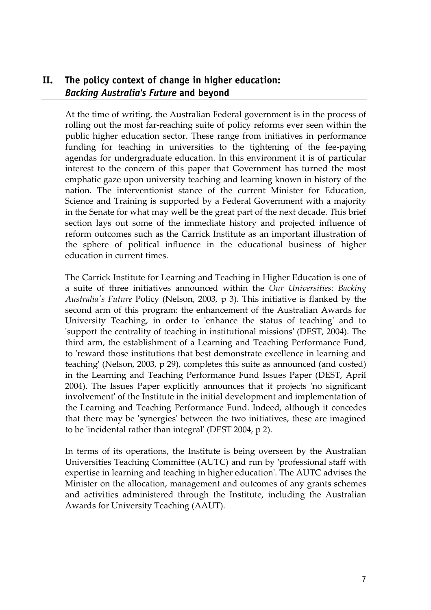# **II. The policy context of change in higher education:**  *Backing Australia's Future* **and beyond**

At the time of writing, the Australian Federal government is in the process of rolling out the most far-reaching suite of policy reforms ever seen within the public higher education sector. These range from initiatives in performance funding for teaching in universities to the tightening of the fee-paying agendas for undergraduate education. In this environment it is of particular interest to the concern of this paper that Government has turned the most emphatic gaze upon university teaching and learning known in history of the nation. The interventionist stance of the current Minister for Education, Science and Training is supported by a Federal Government with a majority in the Senate for what may well be the great part of the next decade. This brief section lays out some of the immediate history and projected influence of reform outcomes such as the Carrick Institute as an important illustration of the sphere of political influence in the educational business of higher education in current times.

The Carrick Institute for Learning and Teaching in Higher Education is one of a suite of three initiatives announced within the *Our Universities: Backing Australia's Future* Policy (Nelson, 2003, p 3). This initiative is flanked by the second arm of this program: the enhancement of the Australian Awards for University Teaching, in order to 'enhance the status of teaching' and to 'support the centrality of teaching in institutional missions' (DEST, 2004). The third arm, the establishment of a Learning and Teaching Performance Fund, to 'reward those institutions that best demonstrate excellence in learning and teaching' (Nelson, 2003, p 29), completes this suite as announced (and costed) in the Learning and Teaching Performance Fund Issues Paper (DEST, April 2004). The Issues Paper explicitly announces that it projects 'no significant involvement' of the Institute in the initial development and implementation of the Learning and Teaching Performance Fund. Indeed, although it concedes that there may be 'synergies' between the two initiatives, these are imagined to be 'incidental rather than integral' (DEST 2004, p 2).

In terms of its operations, the Institute is being overseen by the Australian Universities Teaching Committee (AUTC) and run by 'professional staff with expertise in learning and teaching in higher education'. The AUTC advises the Minister on the allocation, management and outcomes of any grants schemes and activities administered through the Institute, including the Australian Awards for University Teaching (AAUT).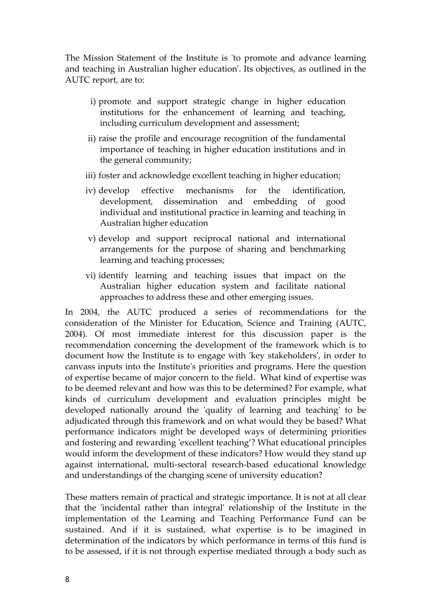The Mission Statement of the Institute is 'to promote and advance learning and teaching in Australian higher education'. Its objectives, as outlined in the AUTC report, are to:

- i) promote and support strategic change in higher education institutions for the enhancement of learning and teaching, including curriculum development and assessment;
- ii) raise the profile and encourage recognition of the fundamental importance of teaching in higher education institutions and in the general community;
- iii) foster and acknowledge excellent teaching in higher education;
- iv) develop effective mechanisms for the identification, development, dissemination and embedding of good individual and institutional practice in learning and teaching in Australian higher education
- v) develop and support reciprocal national and international arrangements for the purpose of sharing and benchmarking learning and teaching processes;
- vi) identify learning and teaching issues that impact on the Australian higher education system and facilitate national approaches to address these and other emerging issues.

In 2004, the AUTC produced a series of recommendations for the consideration of the Minister for Education, Science and Training (AUTC, 2004). Of most immediate interest for this discussion paper is the recommendation concerning the development of the framework which is to document how the Institute is to engage with 'key stakeholders', in order to canvass inputs into the Institute's priorities and programs. Here the question of expertise became of major concern to the field. What kind of expertise was to be deemed relevant and how was this to be determined? For example, what kinds of curriculum development and evaluation principles might be developed nationally around the 'quality of learning and teaching' to be adjudicated through this framework and on what would they be based? What performance indicators might be developed ways of determining priorities and fostering and rewarding 'excellent teaching'? What educational principles would inform the development of these indicators? How would they stand up against international, multi-sectoral research-based educational knowledge and understandings of the changing scene of university education?

These matters remain of practical and strategic importance. It is not at all clear that the 'incidental rather than integral' relationship of the Institute in the implementation of the Learning and Teaching Performance Fund can be sustained. And if it is sustained, what expertise is to be imagined in determination of the indicators by which performance in terms of this fund is to be assessed, if it is not through expertise mediated through a body such as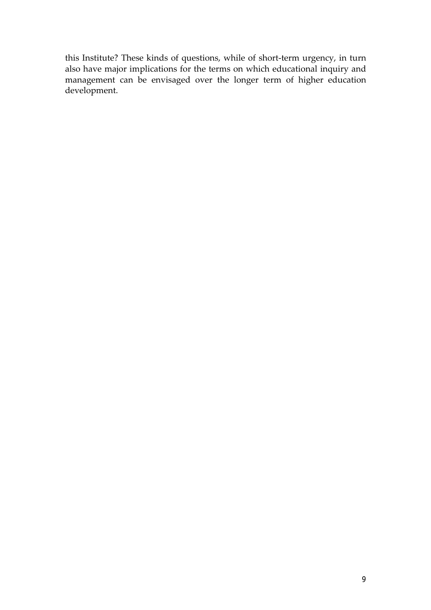this Institute? These kinds of questions, while of short-term urgency, in turn also have major implications for the terms on which educational inquiry and management can be envisaged over the longer term of higher education development.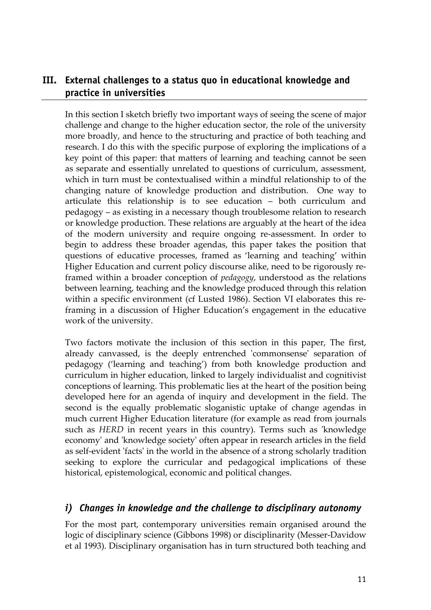# **III. External challenges to a status quo in educational knowledge and practice in universities**

In this section I sketch briefly two important ways of seeing the scene of major challenge and change to the higher education sector, the role of the university more broadly, and hence to the structuring and practice of both teaching and research. I do this with the specific purpose of exploring the implications of a key point of this paper: that matters of learning and teaching cannot be seen as separate and essentially unrelated to questions of curriculum, assessment, which in turn must be contextualised within a mindful relationship to of the changing nature of knowledge production and distribution. One way to articulate this relationship is to see education – both curriculum and pedagogy – as existing in a necessary though troublesome relation to research or knowledge production. These relations are arguably at the heart of the idea of the modern university and require ongoing re-assessment. In order to begin to address these broader agendas, this paper takes the position that questions of educative processes, framed as 'learning and teaching' within Higher Education and current policy discourse alike, need to be rigorously reframed within a broader conception of *pedagogy*, understood as the relations between learning, teaching and the knowledge produced through this relation within a specific environment (cf Lusted 1986). Section VI elaborates this reframing in a discussion of Higher Education's engagement in the educative work of the university.

Two factors motivate the inclusion of this section in this paper, The first, already canvassed, is the deeply entrenched 'commonsense' separation of pedagogy ('learning and teaching') from both knowledge production and curriculum in higher education, linked to largely individualist and cognitivist conceptions of learning. This problematic lies at the heart of the position being developed here for an agenda of inquiry and development in the field. The second is the equally problematic sloganistic uptake of change agendas in much current Higher Education literature (for example as read from journals such as *HERD* in recent years in this country). Terms such as 'knowledge economy' and 'knowledge society' often appear in research articles in the field as self-evident 'facts' in the world in the absence of a strong scholarly tradition seeking to explore the curricular and pedagogical implications of these historical, epistemological, economic and political changes.

#### *i) Changes in knowledge and the challenge to disciplinary autonomy*

For the most part, contemporary universities remain organised around the logic of disciplinary science (Gibbons 1998) or disciplinarity (Messer-Davidow et al 1993). Disciplinary organisation has in turn structured both teaching and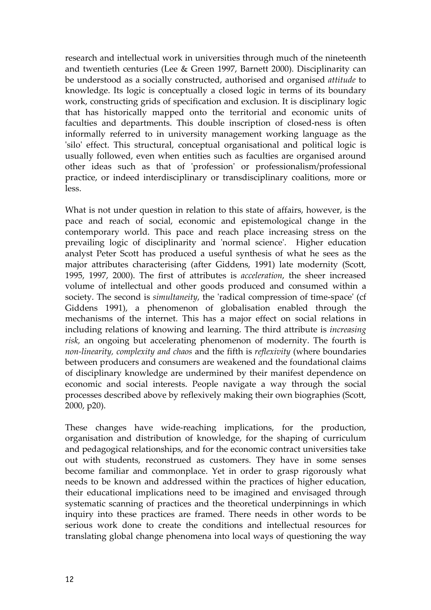research and intellectual work in universities through much of the nineteenth and twentieth centuries (Lee & Green 1997, Barnett 2000). Disciplinarity can be understood as a socially constructed, authorised and organised *attitude* to knowledge. Its logic is conceptually a closed logic in terms of its boundary work, constructing grids of specification and exclusion. It is disciplinary logic that has historically mapped onto the territorial and economic units of faculties and departments. This double inscription of closed-ness is often informally referred to in university management working language as the 'silo' effect. This structural, conceptual organisational and political logic is usually followed, even when entities such as faculties are organised around other ideas such as that of 'profession' or professionalism/professional practice, or indeed interdisciplinary or transdisciplinary coalitions, more or less.

What is not under question in relation to this state of affairs, however, is the pace and reach of social, economic and epistemological change in the contemporary world. This pace and reach place increasing stress on the prevailing logic of disciplinarity and 'normal science'. Higher education analyst Peter Scott has produced a useful synthesis of what he sees as the major attributes characterising (after Giddens, 1991) late modernity (Scott, 1995, 1997, 2000). The first of attributes is *acceleration*, the sheer increased volume of intellectual and other goods produced and consumed within a society. The second is *simultaneity*, the 'radical compression of time-space' (cf Giddens 1991), a phenomenon of globalisation enabled through the mechanisms of the internet. This has a major effect on social relations in including relations of knowing and learning. The third attribute is *increasing risk,* an ongoing but accelerating phenomenon of modernity. The fourth is *non-linearity, complexity and chaos* and the fifth is *reflexivity* (where boundaries between producers and consumers are weakened and the foundational claims of disciplinary knowledge are undermined by their manifest dependence on economic and social interests. People navigate a way through the social processes described above by reflexively making their own biographies (Scott, 2000, p20).

These changes have wide-reaching implications, for the production, organisation and distribution of knowledge, for the shaping of curriculum and pedagogical relationships, and for the economic contract universities take out with students, reconstrued as customers. They have in some senses become familiar and commonplace. Yet in order to grasp rigorously what needs to be known and addressed within the practices of higher education, their educational implications need to be imagined and envisaged through systematic scanning of practices and the theoretical underpinnings in which inquiry into these practices are framed. There needs in other words to be serious work done to create the conditions and intellectual resources for translating global change phenomena into local ways of questioning the way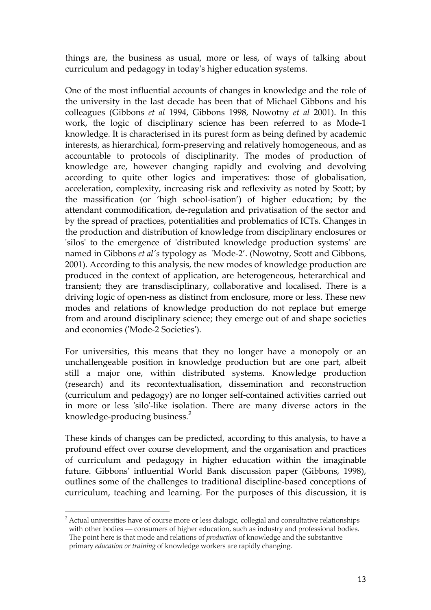things are, the business as usual, more or less, of ways of talking about curriculum and pedagogy in today's higher education systems.

One of the most influential accounts of changes in knowledge and the role of the university in the last decade has been that of Michael Gibbons and his colleagues (Gibbons *et al* 1994, Gibbons 1998, Nowotny *et al* 2001). In this work, the logic of disciplinary science has been referred to as Mode-1 knowledge. It is characterised in its purest form as being defined by academic interests, as hierarchical, form-preserving and relatively homogeneous, and as accountable to protocols of disciplinarity. The modes of production of knowledge are, however changing rapidly and evolving and devolving according to quite other logics and imperatives: those of globalisation, acceleration, complexity, increasing risk and reflexivity as noted by Scott; by the massification (or 'high school-isation') of higher education; by the attendant commodification, de-regulation and privatisation of the sector and by the spread of practices, potentialities and problematics of ICTs. Changes in the production and distribution of knowledge from disciplinary enclosures or 'silos' to the emergence of 'distributed knowledge production systems' are named in Gibbons *et al's* typology as 'Mode-2'. (Nowotny, Scott and Gibbons, 2001). According to this analysis, the new modes of knowledge production are produced in the context of application, are heterogeneous, heterarchical and transient; they are transdisciplinary, collaborative and localised. There is a driving logic of open-ness as distinct from enclosure, more or less. These new modes and relations of knowledge production do not replace but emerge from and around disciplinary science; they emerge out of and shape societies and economies ('Mode-2 Societies').

For universities, this means that they no longer have a monopoly or an unchallengeable position in knowledge production but are one part, albeit still a major one, within distributed systems. Knowledge production (research) and its recontextualisation, dissemination and reconstruction (curriculum and pedagogy) are no longer self-contained activities carried out in more or less 'silo'-like isolation. There are many diverse actors in the knowledge-producing business.<sup>2</sup>

These kinds of changes can be predicted, according to this analysis, to have a profound effect over course development, and the organisation and practices of curriculum and pedagogy in higher education within the imaginable future. Gibbons' influential World Bank discussion paper (Gibbons, 1998), outlines some of the challenges to traditional discipline-based conceptions of curriculum, teaching and learning. For the purposes of this discussion, it is

 $\overline{a}$ 

 $^2$  Actual universities have of course more or less dialogic, collegial and consultative relationships with other bodies — consumers of higher education, such as industry and professional bodies. The point here is that mode and relations of *production* of knowledge and the substantive primary *education or training* of knowledge workers are rapidly changing.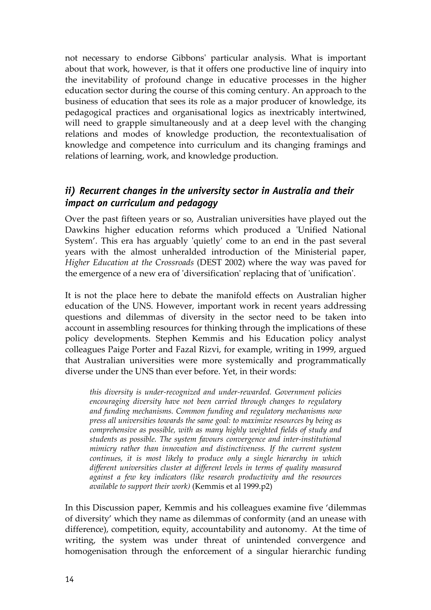not necessary to endorse Gibbons' particular analysis. What is important about that work, however, is that it offers one productive line of inquiry into the inevitability of profound change in educative processes in the higher education sector during the course of this coming century. An approach to the business of education that sees its role as a major producer of knowledge, its pedagogical practices and organisational logics as inextricably intertwined, will need to grapple simultaneously and at a deep level with the changing relations and modes of knowledge production, the recontextualisation of knowledge and competence into curriculum and its changing framings and relations of learning, work, and knowledge production.

## *ii) Recurrent changes in the university sector in Australia and their impact on curriculum and pedagogy*

Over the past fifteen years or so, Australian universities have played out the Dawkins higher education reforms which produced a 'Unified National System'. This era has arguably 'quietly' come to an end in the past several years with the almost unheralded introduction of the Ministerial paper, *Higher Education at the Crossroads* (DEST 2002) where the way was paved for the emergence of a new era of 'diversification' replacing that of 'unification'.

It is not the place here to debate the manifold effects on Australian higher education of the UNS. However, important work in recent years addressing questions and dilemmas of diversity in the sector need to be taken into account in assembling resources for thinking through the implications of these policy developments. Stephen Kemmis and his Education policy analyst colleagues Paige Porter and Fazal Rizvi, for example, writing in 1999, argued that Australian universities were more systemically and programmatically diverse under the UNS than ever before. Yet, in their words:

*this diversity is under-recognized and under-rewarded. Government policies encouraging diversity have not been carried through changes to regulatory and funding mechanisms. Common funding and regulatory mechanisms now press all universities towards the same goal: to maximize resources by being as comprehensive as possible, with as many highly weighted fields of study and students as possible. The system favours convergence and inter-institutional mimicry rather than innovation and distinctiveness. If the current system continues, it is most likely to produce only a single hierarchy in which different universities cluster at different levels in terms of quality measured against a few key indicators (like research productivity and the resources available to support their work)* (Kemmis et al 1999.p2)

In this Discussion paper, Kemmis and his colleagues examine five 'dilemmas of diversity' which they name as dilemmas of conformity (and an unease with difference), competition, equity, accountability and autonomy. At the time of writing, the system was under threat of unintended convergence and homogenisation through the enforcement of a singular hierarchic funding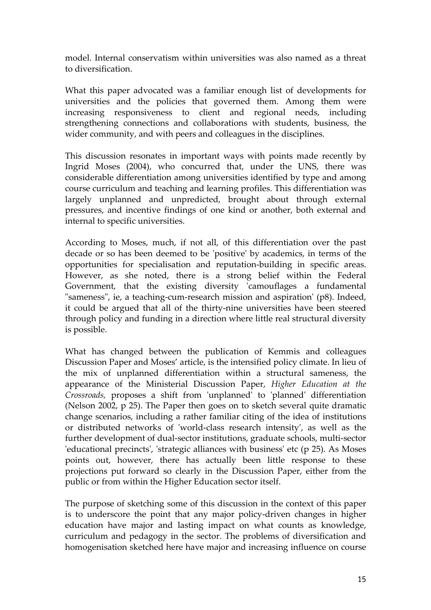model. Internal conservatism within universities was also named as a threat to diversification.

What this paper advocated was a familiar enough list of developments for universities and the policies that governed them. Among them were increasing responsiveness to client and regional needs, including strengthening connections and collaborations with students, business, the wider community, and with peers and colleagues in the disciplines.

This discussion resonates in important ways with points made recently by Ingrid Moses (2004), who concurred that, under the UNS, there was considerable differentiation among universities identified by type and among course curriculum and teaching and learning profiles. This differentiation was largely unplanned and unpredicted, brought about through external pressures, and incentive findings of one kind or another, both external and internal to specific universities.

According to Moses, much, if not all, of this differentiation over the past decade or so has been deemed to be 'positive' by academics, in terms of the opportunities for specialisation and reputation-building in specific areas. However, as she noted, there is a strong belief within the Federal Government, that the existing diversity 'camouflages a fundamental "sameness", ie, a teaching-cum-research mission and aspiration' (p8). Indeed, it could be argued that all of the thirty-nine universities have been steered through policy and funding in a direction where little real structural diversity is possible.

What has changed between the publication of Kemmis and colleagues Discussion Paper and Moses' article, is the intensified policy climate. In lieu of the mix of unplanned differentiation within a structural sameness, the appearance of the Ministerial Discussion Paper, *Higher Education at the Crossroads,* proposes a shift from 'unplanned' to 'planned' differentiation (Nelson 2002, p 25). The Paper then goes on to sketch several quite dramatic change scenarios, including a rather familiar citing of the idea of institutions or distributed networks of 'world-class research intensity', as well as the further development of dual-sector institutions, graduate schools, multi-sector 'educational precincts', 'strategic alliances with business' etc (p 25). As Moses points out, however, there has actually been little response to these projections put forward so clearly in the Discussion Paper, either from the public or from within the Higher Education sector itself.

The purpose of sketching some of this discussion in the context of this paper is to underscore the point that any major policy-driven changes in higher education have major and lasting impact on what counts as knowledge, curriculum and pedagogy in the sector. The problems of diversification and homogenisation sketched here have major and increasing influence on course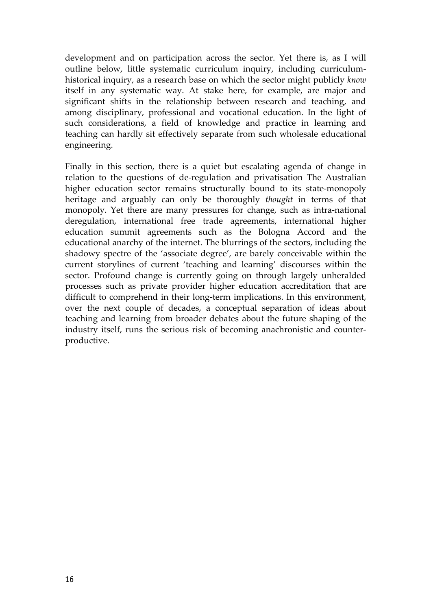development and on participation across the sector. Yet there is, as I will outline below, little systematic curriculum inquiry, including curriculumhistorical inquiry, as a research base on which the sector might publicly *know* itself in any systematic way. At stake here, for example, are major and significant shifts in the relationship between research and teaching, and among disciplinary, professional and vocational education. In the light of such considerations, a field of knowledge and practice in learning and teaching can hardly sit effectively separate from such wholesale educational engineering.

Finally in this section, there is a quiet but escalating agenda of change in relation to the questions of de-regulation and privatisation The Australian higher education sector remains structurally bound to its state-monopoly heritage and arguably can only be thoroughly *thought* in terms of that monopoly. Yet there are many pressures for change, such as intra-national deregulation, international free trade agreements, international higher education summit agreements such as the Bologna Accord and the educational anarchy of the internet. The blurrings of the sectors, including the shadowy spectre of the 'associate degree', are barely conceivable within the current storylines of current 'teaching and learning' discourses within the sector. Profound change is currently going on through largely unheralded processes such as private provider higher education accreditation that are difficult to comprehend in their long-term implications. In this environment, over the next couple of decades, a conceptual separation of ideas about teaching and learning from broader debates about the future shaping of the industry itself, runs the serious risk of becoming anachronistic and counterproductive.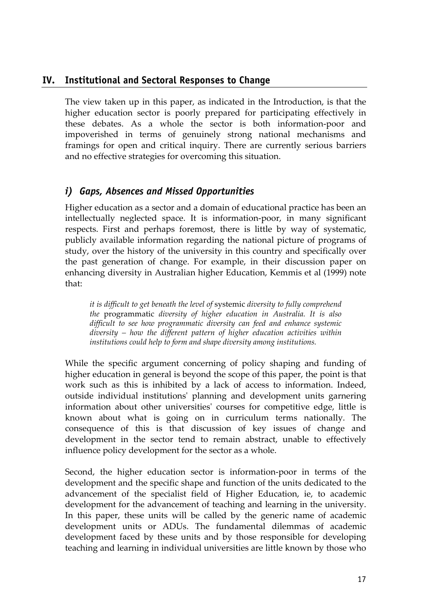#### **IV. Institutional and Sectoral Responses to Change**

The view taken up in this paper, as indicated in the Introduction, is that the higher education sector is poorly prepared for participating effectively in these debates. As a whole the sector is both information-poor and impoverished in terms of genuinely strong national mechanisms and framings for open and critical inquiry. There are currently serious barriers and no effective strategies for overcoming this situation.

#### *i) Gaps, Absences and Missed Opportunities*

Higher education as a sector and a domain of educational practice has been an intellectually neglected space. It is information-poor, in many significant respects. First and perhaps foremost, there is little by way of systematic, publicly available information regarding the national picture of programs of study, over the history of the university in this country and specifically over the past generation of change. For example, in their discussion paper on enhancing diversity in Australian higher Education, Kemmis et al (1999) note that:

*it is difficult to get beneath the level of* systemic *diversity to fully comprehend the* programmatic *diversity of higher education in Australia. It is also difficult to see how programmatic diversity can feed and enhance systemic diversity – how the different pattern of higher education activities within institutions could help to form and shape diversity among institutions.* 

While the specific argument concerning of policy shaping and funding of higher education in general is beyond the scope of this paper, the point is that work such as this is inhibited by a lack of access to information. Indeed, outside individual institutions' planning and development units garnering information about other universities' courses for competitive edge, little is known about what is going on in curriculum terms nationally. The consequence of this is that discussion of key issues of change and development in the sector tend to remain abstract, unable to effectively influence policy development for the sector as a whole.

Second, the higher education sector is information-poor in terms of the development and the specific shape and function of the units dedicated to the advancement of the specialist field of Higher Education, ie, to academic development for the advancement of teaching and learning in the university. In this paper, these units will be called by the generic name of academic development units or ADUs. The fundamental dilemmas of academic development faced by these units and by those responsible for developing teaching and learning in individual universities are little known by those who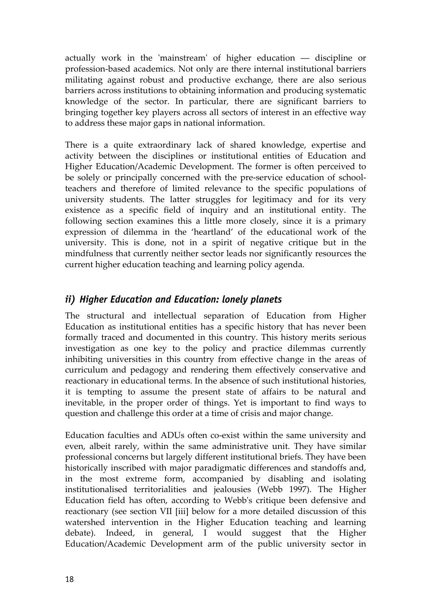actually work in the 'mainstream' of higher education –– discipline or profession-based academics. Not only are there internal institutional barriers militating against robust and productive exchange, there are also serious barriers across institutions to obtaining information and producing systematic knowledge of the sector. In particular, there are significant barriers to bringing together key players across all sectors of interest in an effective way to address these major gaps in national information.

There is a quite extraordinary lack of shared knowledge, expertise and activity between the disciplines or institutional entities of Education and Higher Education/Academic Development. The former is often perceived to be solely or principally concerned with the pre-service education of schoolteachers and therefore of limited relevance to the specific populations of university students. The latter struggles for legitimacy and for its very existence as a specific field of inquiry and an institutional entity. The following section examines this a little more closely, since it is a primary expression of dilemma in the 'heartland' of the educational work of the university. This is done, not in a spirit of negative critique but in the mindfulness that currently neither sector leads nor significantly resources the current higher education teaching and learning policy agenda.

# *ii) Higher Education and Education: lonely planets*

The structural and intellectual separation of Education from Higher Education as institutional entities has a specific history that has never been formally traced and documented in this country. This history merits serious investigation as one key to the policy and practice dilemmas currently inhibiting universities in this country from effective change in the areas of curriculum and pedagogy and rendering them effectively conservative and reactionary in educational terms. In the absence of such institutional histories, it is tempting to assume the present state of affairs to be natural and inevitable, in the proper order of things. Yet is important to find ways to question and challenge this order at a time of crisis and major change.

Education faculties and ADUs often co-exist within the same university and even, albeit rarely, within the same administrative unit. They have similar professional concerns but largely different institutional briefs. They have been historically inscribed with major paradigmatic differences and standoffs and, in the most extreme form, accompanied by disabling and isolating institutionalised territorialities and jealousies (Webb 1997). The Higher Education field has often, according to Webb's critique been defensive and reactionary (see section VII [iii] below for a more detailed discussion of this watershed intervention in the Higher Education teaching and learning debate). Indeed, in general, I would suggest that the Higher Education/Academic Development arm of the public university sector in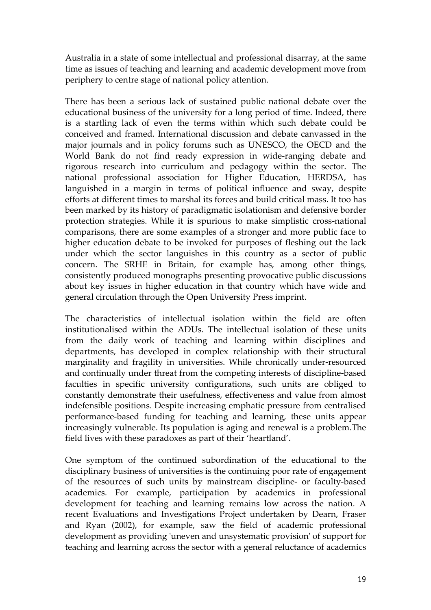Australia in a state of some intellectual and professional disarray, at the same time as issues of teaching and learning and academic development move from periphery to centre stage of national policy attention.

There has been a serious lack of sustained public national debate over the educational business of the university for a long period of time. Indeed, there is a startling lack of even the terms within which such debate could be conceived and framed. International discussion and debate canvassed in the major journals and in policy forums such as UNESCO, the OECD and the World Bank do not find ready expression in wide-ranging debate and rigorous research into curriculum and pedagogy within the sector. The national professional association for Higher Education, HERDSA, has languished in a margin in terms of political influence and sway, despite efforts at different times to marshal its forces and build critical mass. It too has been marked by its history of paradigmatic isolationism and defensive border protection strategies. While it is spurious to make simplistic cross-national comparisons, there are some examples of a stronger and more public face to higher education debate to be invoked for purposes of fleshing out the lack under which the sector languishes in this country as a sector of public concern. The SRHE in Britain, for example has, among other things, consistently produced monographs presenting provocative public discussions about key issues in higher education in that country which have wide and general circulation through the Open University Press imprint.

The characteristics of intellectual isolation within the field are often institutionalised within the ADUs. The intellectual isolation of these units from the daily work of teaching and learning within disciplines and departments, has developed in complex relationship with their structural marginality and fragility in universities. While chronically under-resourced and continually under threat from the competing interests of discipline-based faculties in specific university configurations, such units are obliged to constantly demonstrate their usefulness, effectiveness and value from almost indefensible positions. Despite increasing emphatic pressure from centralised performance-based funding for teaching and learning, these units appear increasingly vulnerable. Its population is aging and renewal is a problem.The field lives with these paradoxes as part of their 'heartland'.

One symptom of the continued subordination of the educational to the disciplinary business of universities is the continuing poor rate of engagement of the resources of such units by mainstream discipline- or faculty-based academics. For example, participation by academics in professional development for teaching and learning remains low across the nation. A recent Evaluations and Investigations Project undertaken by Dearn, Fraser and Ryan (2002), for example, saw the field of academic professional development as providing 'uneven and unsystematic provision' of support for teaching and learning across the sector with a general reluctance of academics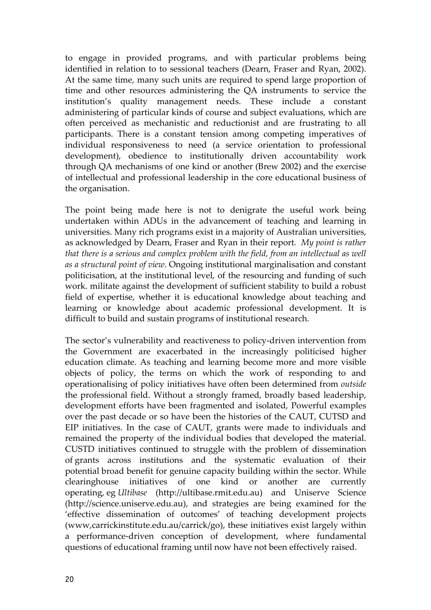to engage in provided programs, and with particular problems being identified in relation to to sessional teachers (Dearn, Fraser and Ryan, 2002). At the same time, many such units are required to spend large proportion of time and other resources administering the QA instruments to service the institution's quality management needs. These include a constant administering of particular kinds of course and subject evaluations, which are often perceived as mechanistic and reductionist and are frustrating to all participants. There is a constant tension among competing imperatives of individual responsiveness to need (a service orientation to professional development), obedience to institutionally driven accountability work through QA mechanisms of one kind or another (Brew 2002) and the exercise of intellectual and professional leadership in the core educational business of the organisation.

The point being made here is not to denigrate the useful work being undertaken within ADUs in the advancement of teaching and learning in universities. Many rich programs exist in a majority of Australian universities, as acknowledged by Dearn, Fraser and Ryan in their report*. My point is rather that there is a serious and complex problem with the field, from an intellectual as well as a structural point of view*. Ongoing institutional marginalisation and constant politicisation, at the institutional level, of the resourcing and funding of such work. militate against the development of sufficient stability to build a robust field of expertise, whether it is educational knowledge about teaching and learning or knowledge about academic professional development. It is difficult to build and sustain programs of institutional research.

The sector's vulnerability and reactiveness to policy-driven intervention from the Government are exacerbated in the increasingly politicised higher education climate. As teaching and learning become more and more visible objects of policy, the terms on which the work of responding to and operationalising of policy initiatives have often been determined from *outside* the professional field. Without a strongly framed, broadly based leadership, development efforts have been fragmented and isolated, Powerful examples over the past decade or so have been the histories of the CAUT, CUTSD and EIP initiatives. In the case of CAUT, grants were made to individuals and remained the property of the individual bodies that developed the material. CUSTD initiatives continued to struggle with the problem of dissemination of grants across institutions and the systematic evaluation of their potential broad benefit for genuine capacity building within the sector. While clearinghouse initiatives of one kind or another are currently operating, eg *Ultibase* (http://ultibase.rmit.edu.au) and Uniserve Science (http://science.uniserve.edu.au), and strategies are being examined for the 'effective dissemination of outcomes' of teaching development projects (www,carrickinstitute.edu.au/carrick/go), these initiatives exist largely within a performance-driven conception of development, where fundamental questions of educational framing until now have not been effectively raised.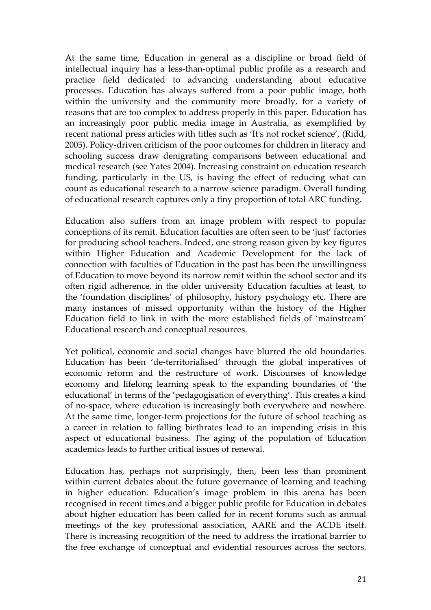At the same time, Education in general as a discipline or broad field of intellectual inquiry has a less-than-optimal public profile as a research and practice field dedicated to advancing understanding about educative processes. Education has always suffered from a poor public image, both within the university and the community more broadly, for a variety of reasons that are too complex to address properly in this paper. Education has an increasingly poor public media image in Australia, as exemplified by recent national press articles with titles such as 'It's not rocket science', (Ridd, 2005). Policy-driven criticism of the poor outcomes for children in literacy and schooling success draw denigrating comparisons between educational and medical research (see Yates 2004). Increasing constraint on education research funding, particularly in the US, is having the effect of reducing what can count as educational research to a narrow science paradigm. Overall funding of educational research captures only a tiny proportion of total ARC funding.

Education also suffers from an image problem with respect to popular conceptions of its remit. Education faculties are often seen to be 'just' factories for producing school teachers. Indeed, one strong reason given by key figures within Higher Education and Academic Development for the lack of connection with faculties of Education in the past has been the unwillingness of Education to move beyond its narrow remit within the school sector and its often rigid adherence, in the older university Education faculties at least, to the 'foundation disciplines' of philosophy, history psychology etc. There are many instances of missed opportunity within the history of the Higher Education field to link in with the more established fields of 'mainstream' Educational research and conceptual resources.

Yet political, economic and social changes have blurred the old boundaries. Education has been 'de-territorialised' through the global imperatives of economic reform and the restructure of work. Discourses of knowledge economy and lifelong learning speak to the expanding boundaries of 'the educational' in terms of the 'pedagogisation of everything'. This creates a kind of no-space, where education is increasingly both everywhere and nowhere. At the same time, longer-term projections for the future of school teaching as a career in relation to falling birthrates lead to an impending crisis in this aspect of educational business. The aging of the population of Education academics leads to further critical issues of renewal.

Education has, perhaps not surprisingly, then, been less than prominent within current debates about the future governance of learning and teaching in higher education. Education's image problem in this arena has been recognised in recent times and a bigger public profile for Education in debates about higher education has been called for in recent forums such as annual meetings of the key professional association, AARE and the ACDE itself. There is increasing recognition of the need to address the irrational barrier to the free exchange of conceptual and evidential resources across the sectors.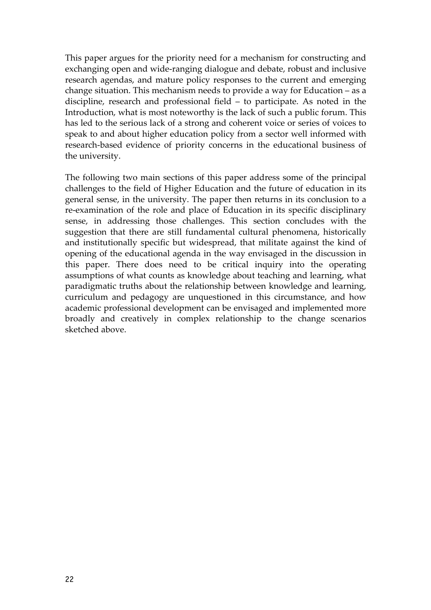This paper argues for the priority need for a mechanism for constructing and exchanging open and wide-ranging dialogue and debate, robust and inclusive research agendas, and mature policy responses to the current and emerging change situation. This mechanism needs to provide a way for Education – as a discipline, research and professional field – to participate. As noted in the Introduction, what is most noteworthy is the lack of such a public forum. This has led to the serious lack of a strong and coherent voice or series of voices to speak to and about higher education policy from a sector well informed with research-based evidence of priority concerns in the educational business of the university.

The following two main sections of this paper address some of the principal challenges to the field of Higher Education and the future of education in its general sense, in the university. The paper then returns in its conclusion to a re-examination of the role and place of Education in its specific disciplinary sense, in addressing those challenges. This section concludes with the suggestion that there are still fundamental cultural phenomena, historically and institutionally specific but widespread, that militate against the kind of opening of the educational agenda in the way envisaged in the discussion in this paper. There does need to be critical inquiry into the operating assumptions of what counts as knowledge about teaching and learning, what paradigmatic truths about the relationship between knowledge and learning, curriculum and pedagogy are unquestioned in this circumstance, and how academic professional development can be envisaged and implemented more broadly and creatively in complex relationship to the change scenarios sketched above.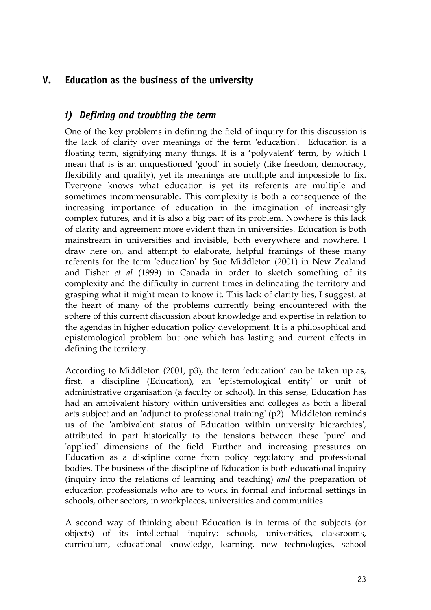#### **V. Education as the business of the university**

#### *i) Defining and troubling the term*

One of the key problems in defining the field of inquiry for this discussion is the lack of clarity over meanings of the term 'education'. Education is a floating term, signifying many things. It is a 'polyvalent' term, by which I mean that is is an unquestioned 'good' in society (like freedom, democracy, flexibility and quality), yet its meanings are multiple and impossible to fix. Everyone knows what education is yet its referents are multiple and sometimes incommensurable. This complexity is both a consequence of the increasing importance of education in the imagination of increasingly complex futures, and it is also a big part of its problem. Nowhere is this lack of clarity and agreement more evident than in universities. Education is both mainstream in universities and invisible, both everywhere and nowhere. I draw here on, and attempt to elaborate, helpful framings of these many referents for the term 'education' by Sue Middleton (2001) in New Zealand and Fisher *et al* (1999) in Canada in order to sketch something of its complexity and the difficulty in current times in delineating the territory and grasping what it might mean to know it. This lack of clarity lies, I suggest, at the heart of many of the problems currently being encountered with the sphere of this current discussion about knowledge and expertise in relation to the agendas in higher education policy development. It is a philosophical and epistemological problem but one which has lasting and current effects in defining the territory.

According to Middleton (2001, p3), the term 'education' can be taken up as, first, a discipline (Education), an 'epistemological entity' or unit of administrative organisation (a faculty or school). In this sense, Education has had an ambivalent history within universities and colleges as both a liberal arts subject and an 'adjunct to professional training' (p2). Middleton reminds us of the 'ambivalent status of Education within university hierarchies', attributed in part historically to the tensions between these 'pure' and 'applied' dimensions of the field. Further and increasing pressures on Education as a discipline come from policy regulatory and professional bodies. The business of the discipline of Education is both educational inquiry (inquiry into the relations of learning and teaching) *and* the preparation of education professionals who are to work in formal and informal settings in schools, other sectors, in workplaces, universities and communities.

A second way of thinking about Education is in terms of the subjects (or objects) of its intellectual inquiry: schools, universities, classrooms, curriculum, educational knowledge, learning, new technologies, school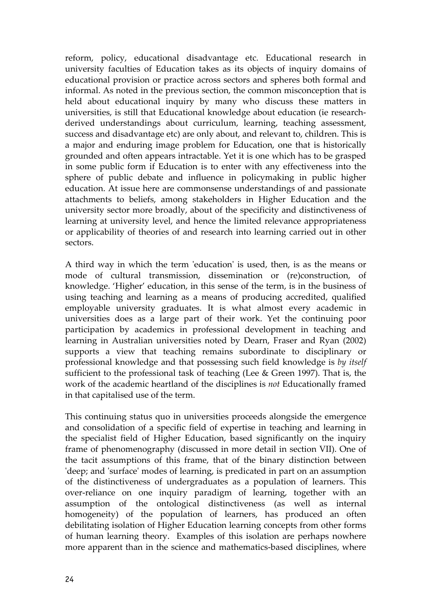reform, policy, educational disadvantage etc. Educational research in university faculties of Education takes as its objects of inquiry domains of educational provision or practice across sectors and spheres both formal and informal. As noted in the previous section, the common misconception that is held about educational inquiry by many who discuss these matters in universities, is still that Educational knowledge about education (ie researchderived understandings about curriculum, learning, teaching assessment, success and disadvantage etc) are only about, and relevant to, children. This is a major and enduring image problem for Education, one that is historically grounded and often appears intractable. Yet it is one which has to be grasped in some public form if Education is to enter with any effectiveness into the sphere of public debate and influence in policymaking in public higher education. At issue here are commonsense understandings of and passionate attachments to beliefs, among stakeholders in Higher Education and the university sector more broadly, about of the specificity and distinctiveness of learning at university level, and hence the limited relevance appropriateness or applicability of theories of and research into learning carried out in other sectors.

A third way in which the term 'education' is used, then, is as the means or mode of cultural transmission, dissemination or (re)construction, of knowledge. 'Higher' education, in this sense of the term, is in the business of using teaching and learning as a means of producing accredited, qualified employable university graduates. It is what almost every academic in universities does as a large part of their work. Yet the continuing poor participation by academics in professional development in teaching and learning in Australian universities noted by Dearn, Fraser and Ryan (2002) supports a view that teaching remains subordinate to disciplinary or professional knowledge and that possessing such field knowledge is *by itself* sufficient to the professional task of teaching (Lee & Green 1997). That is, the work of the academic heartland of the disciplines is *not* Educationally framed in that capitalised use of the term.

This continuing status quo in universities proceeds alongside the emergence and consolidation of a specific field of expertise in teaching and learning in the specialist field of Higher Education, based significantly on the inquiry frame of phenomenography (discussed in more detail in section VII). One of the tacit assumptions of this frame, that of the binary distinction between 'deep; and 'surface' modes of learning, is predicated in part on an assumption of the distinctiveness of undergraduates as a population of learners. This over-reliance on one inquiry paradigm of learning, together with an assumption of the ontological distinctiveness (as well as internal homogeneity) of the population of learners, has produced an often debilitating isolation of Higher Education learning concepts from other forms of human learning theory. Examples of this isolation are perhaps nowhere more apparent than in the science and mathematics-based disciplines, where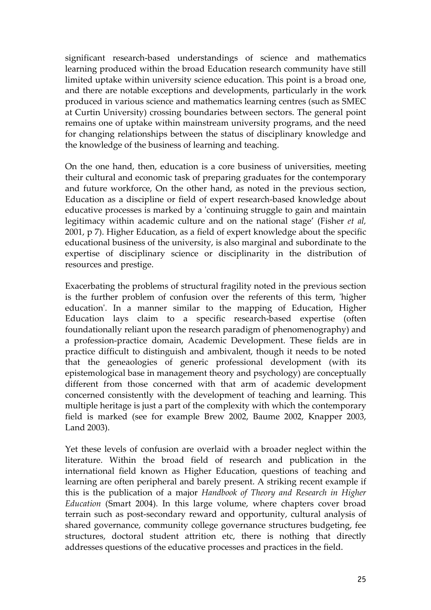significant research-based understandings of science and mathematics learning produced within the broad Education research community have still limited uptake within university science education. This point is a broad one, and there are notable exceptions and developments, particularly in the work produced in various science and mathematics learning centres (such as SMEC at Curtin University) crossing boundaries between sectors. The general point remains one of uptake within mainstream university programs, and the need for changing relationships between the status of disciplinary knowledge and the knowledge of the business of learning and teaching.

On the one hand, then, education is a core business of universities, meeting their cultural and economic task of preparing graduates for the contemporary and future workforce, On the other hand, as noted in the previous section, Education as a discipline or field of expert research-based knowledge about educative processes is marked by a 'continuing struggle to gain and maintain legitimacy within academic culture and on the national stage' (Fisher *et al,* 2001, p 7). Higher Education, as a field of expert knowledge about the specific educational business of the university, is also marginal and subordinate to the expertise of disciplinary science or disciplinarity in the distribution of resources and prestige.

Exacerbating the problems of structural fragility noted in the previous section is the further problem of confusion over the referents of this term, 'higher education'. In a manner similar to the mapping of Education, Higher Education lays claim to a specific research-based expertise (often foundationally reliant upon the research paradigm of phenomenography) and a profession-practice domain, Academic Development. These fields are in practice difficult to distinguish and ambivalent, though it needs to be noted that the geneaologies of generic professional development (with its epistemological base in management theory and psychology) are conceptually different from those concerned with that arm of academic development concerned consistently with the development of teaching and learning. This multiple heritage is just a part of the complexity with which the contemporary field is marked (see for example Brew 2002, Baume 2002, Knapper 2003, Land 2003).

Yet these levels of confusion are overlaid with a broader neglect within the literature. Within the broad field of research and publication in the international field known as Higher Education, questions of teaching and learning are often peripheral and barely present. A striking recent example if this is the publication of a major *Handbook of Theory and Research in Higher Education* (Smart 2004). In this large volume, where chapters cover broad terrain such as post-secondary reward and opportunity, cultural analysis of shared governance, community college governance structures budgeting, fee structures, doctoral student attrition etc, there is nothing that directly addresses questions of the educative processes and practices in the field.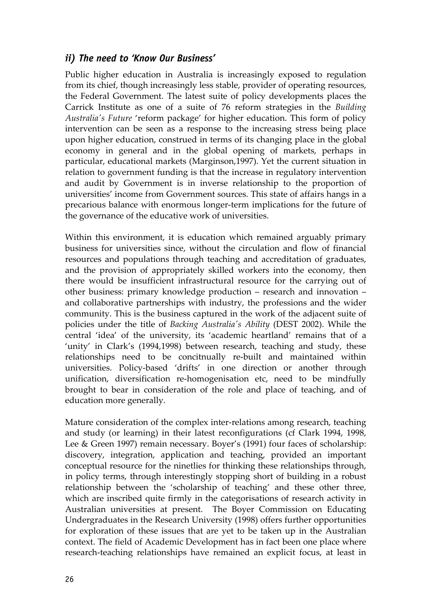#### *ii) The need to 'Know Our Business'*

Public higher education in Australia is increasingly exposed to regulation from its chief, though increasingly less stable, provider of operating resources, the Federal Government. The latest suite of policy developments places the Carrick Institute as one of a suite of 76 reform strategies in the *Building Australia's Future* 'reform package' for higher education. This form of policy intervention can be seen as a response to the increasing stress being place upon higher education, construed in terms of its changing place in the global economy in general and in the global opening of markets, perhaps in particular, educational markets (Marginson,1997). Yet the current situation in relation to government funding is that the increase in regulatory intervention and audit by Government is in inverse relationship to the proportion of universities' income from Government sources. This state of affairs hangs in a precarious balance with enormous longer-term implications for the future of the governance of the educative work of universities.

Within this environment, it is education which remained arguably primary business for universities since, without the circulation and flow of financial resources and populations through teaching and accreditation of graduates, and the provision of appropriately skilled workers into the economy, then there would be insufficient infrastructural resource for the carrying out of other business: primary knowledge production – research and innovation – and collaborative partnerships with industry, the professions and the wider community. This is the business captured in the work of the adjacent suite of policies under the title of *Backing Australia's Ability* (DEST 2002). While the central 'idea' of the university, its 'academic heartland' remains that of a 'unity' in Clark's (1994,1998) between research, teaching and study, these relationships need to be concitnually re-built and maintained within universities. Policy-based 'drifts' in one direction or another through unification, diversification re-homogenisation etc, need to be mindfully brought to bear in consideration of the role and place of teaching, and of education more generally.

Mature consideration of the complex inter-relations among research, teaching and study (or learning) in their latest reconfigurations (cf Clark 1994, 1998, Lee & Green 1997) remain necessary. Boyer's (1991) four faces of scholarship: discovery, integration, application and teaching, provided an important conceptual resource for the ninetlies for thinking these relationships through, in policy terms, through interestingly stopping short of building in a robust relationship between the 'scholarship of teaching' and these other three, which are inscribed quite firmly in the categorisations of research activity in Australian universities at present. The Boyer Commission on Educating Undergraduates in the Research University (1998) offers further opportunities for exploration of these issues that are yet to be taken up in the Australian context. The field of Academic Development has in fact been one place where research-teaching relationships have remained an explicit focus, at least in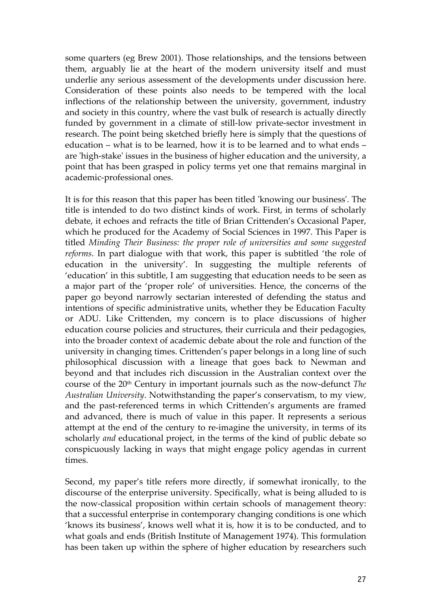some quarters (eg Brew 2001). Those relationships, and the tensions between them, arguably lie at the heart of the modern university itself and must underlie any serious assessment of the developments under discussion here. Consideration of these points also needs to be tempered with the local inflections of the relationship between the university, government, industry and society in this country, where the vast bulk of research is actually directly funded by government in a climate of still-low private-sector investment in research. The point being sketched briefly here is simply that the questions of education – what is to be learned, how it is to be learned and to what ends – are 'high-stake' issues in the business of higher education and the university, a point that has been grasped in policy terms yet one that remains marginal in academic-professional ones.

It is for this reason that this paper has been titled 'knowing our business'. The title is intended to do two distinct kinds of work. First, in terms of scholarly debate, it echoes and refracts the title of Brian Crittenden's Occasional Paper, which he produced for the Academy of Social Sciences in 1997. This Paper is titled *Minding Their Business: the proper role of universities and some suggested reforms*. In part dialogue with that work, this paper is subtitled 'the role of education in the university'. In suggesting the multiple referents of 'education' in this subtitle, I am suggesting that education needs to be seen as a major part of the 'proper role' of universities. Hence, the concerns of the paper go beyond narrowly sectarian interested of defending the status and intentions of specific administrative units, whether they be Education Faculty or ADU. Like Crittenden, my concern is to place discussions of higher education course policies and structures, their curricula and their pedagogies, into the broader context of academic debate about the role and function of the university in changing times. Crittenden's paper belongs in a long line of such philosophical discussion with a lineage that goes back to Newman and beyond and that includes rich discussion in the Australian context over the course of the 20th Century in important journals such as the now-defunct *The Australian University*. Notwithstanding the paper's conservatism, to my view, and the past-referenced terms in which Crittenden's arguments are framed and advanced, there is much of value in this paper. It represents a serious attempt at the end of the century to re-imagine the university, in terms of its scholarly *and* educational project, in the terms of the kind of public debate so conspicuously lacking in ways that might engage policy agendas in current times.

Second, my paper's title refers more directly, if somewhat ironically, to the discourse of the enterprise university. Specifically, what is being alluded to is the now-classical proposition within certain schools of management theory: that a successful enterprise in contemporary changing conditions is one which 'knows its business', knows well what it is, how it is to be conducted, and to what goals and ends (British Institute of Management 1974). This formulation has been taken up within the sphere of higher education by researchers such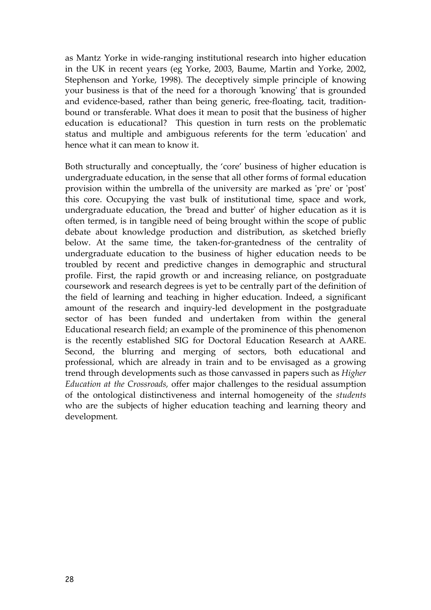as Mantz Yorke in wide-ranging institutional research into higher education in the UK in recent years (eg Yorke, 2003, Baume, Martin and Yorke, 2002, Stephenson and Yorke, 1998). The deceptively simple principle of knowing your business is that of the need for a thorough 'knowing' that is grounded and evidence-based, rather than being generic, free-floating, tacit, traditionbound or transferable. What does it mean to posit that the business of higher education is educational? This question in turn rests on the problematic status and multiple and ambiguous referents for the term 'education' and hence what it can mean to know it.

Both structurally and conceptually, the 'core' business of higher education is undergraduate education, in the sense that all other forms of formal education provision within the umbrella of the university are marked as 'pre' or 'post' this core. Occupying the vast bulk of institutional time, space and work, undergraduate education, the 'bread and butter' of higher education as it is often termed, is in tangible need of being brought within the scope of public debate about knowledge production and distribution, as sketched briefly below. At the same time, the taken-for-grantedness of the centrality of undergraduate education to the business of higher education needs to be troubled by recent and predictive changes in demographic and structural profile. First, the rapid growth or and increasing reliance, on postgraduate coursework and research degrees is yet to be centrally part of the definition of the field of learning and teaching in higher education. Indeed, a significant amount of the research and inquiry-led development in the postgraduate sector of has been funded and undertaken from within the general Educational research field; an example of the prominence of this phenomenon is the recently established SIG for Doctoral Education Research at AARE. Second, the blurring and merging of sectors, both educational and professional, which are already in train and to be envisaged as a growing trend through developments such as those canvassed in papers such as *Higher Education at the Crossroads,* offer major challenges to the residual assumption of the ontological distinctiveness and internal homogeneity of the *students* who are the subjects of higher education teaching and learning theory and development*.*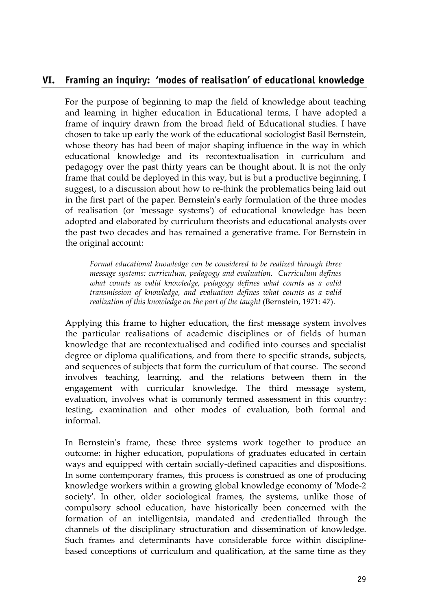#### **VI. Framing an inquiry: 'modes of realisation' of educational knowledge**

For the purpose of beginning to map the field of knowledge about teaching and learning in higher education in Educational terms, I have adopted a frame of inquiry drawn from the broad field of Educational studies. I have chosen to take up early the work of the educational sociologist Basil Bernstein, whose theory has had been of major shaping influence in the way in which educational knowledge and its recontextualisation in curriculum and pedagogy over the past thirty years can be thought about. It is not the only frame that could be deployed in this way, but is but a productive beginning, I suggest, to a discussion about how to re-think the problematics being laid out in the first part of the paper. Bernstein's early formulation of the three modes of realisation (or 'message systems') of educational knowledge has been adopted and elaborated by curriculum theorists and educational analysts over the past two decades and has remained a generative frame. For Bernstein in the original account:

*Formal educational knowledge can be considered to be realized through three message systems: curriculum, pedagogy and evaluation. Curriculum defines what counts as valid knowledge, pedagogy defines what counts as a valid transmission of knowledge, and evaluation defines what counts as a valid realization of this knowledge on the part of the taught* (Bernstein, 1971: 47).

Applying this frame to higher education, the first message system involves the particular realisations of academic disciplines or of fields of human knowledge that are recontextualised and codified into courses and specialist degree or diploma qualifications, and from there to specific strands, subjects, and sequences of subjects that form the curriculum of that course. The second involves teaching, learning, and the relations between them in the engagement with curricular knowledge. The third message system, evaluation, involves what is commonly termed assessment in this country: testing, examination and other modes of evaluation, both formal and informal.

In Bernstein's frame, these three systems work together to produce an outcome: in higher education, populations of graduates educated in certain ways and equipped with certain socially-defined capacities and dispositions. In some contemporary frames, this process is construed as one of producing knowledge workers within a growing global knowledge economy of 'Mode-2 society'. In other, older sociological frames, the systems, unlike those of compulsory school education, have historically been concerned with the formation of an intelligentsia, mandated and credentialled through the channels of the disciplinary structuration and dissemination of knowledge. Such frames and determinants have considerable force within disciplinebased conceptions of curriculum and qualification, at the same time as they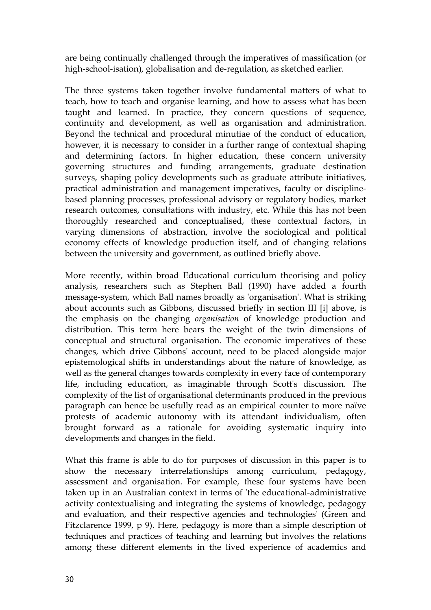are being continually challenged through the imperatives of massification (or high-school-isation), globalisation and de-regulation, as sketched earlier.

The three systems taken together involve fundamental matters of what to teach, how to teach and organise learning, and how to assess what has been taught and learned. In practice, they concern questions of sequence, continuity and development, as well as organisation and administration. Beyond the technical and procedural minutiae of the conduct of education, however, it is necessary to consider in a further range of contextual shaping and determining factors. In higher education, these concern university governing structures and funding arrangements, graduate destination surveys, shaping policy developments such as graduate attribute initiatives, practical administration and management imperatives, faculty or disciplinebased planning processes, professional advisory or regulatory bodies, market research outcomes, consultations with industry, etc. While this has not been thoroughly researched and conceptualised, these contextual factors, in varying dimensions of abstraction, involve the sociological and political economy effects of knowledge production itself, and of changing relations between the university and government, as outlined briefly above.

More recently, within broad Educational curriculum theorising and policy analysis, researchers such as Stephen Ball (1990) have added a fourth message-system, which Ball names broadly as 'organisation'. What is striking about accounts such as Gibbons, discussed briefly in section III [i] above, is the emphasis on the changing *organisation* of knowledge production and distribution. This term here bears the weight of the twin dimensions of conceptual and structural organisation. The economic imperatives of these changes, which drive Gibbons' account, need to be placed alongside major epistemological shifts in understandings about the nature of knowledge, as well as the general changes towards complexity in every face of contemporary life, including education, as imaginable through Scott's discussion. The complexity of the list of organisational determinants produced in the previous paragraph can hence be usefully read as an empirical counter to more naïve protests of academic autonomy with its attendant individualism, often brought forward as a rationale for avoiding systematic inquiry into developments and changes in the field.

What this frame is able to do for purposes of discussion in this paper is to show the necessary interrelationships among curriculum, pedagogy, assessment and organisation. For example, these four systems have been taken up in an Australian context in terms of 'the educational-administrative activity contextualising and integrating the systems of knowledge, pedagogy and evaluation, and their respective agencies and technologies' (Green and Fitzclarence 1999, p 9). Here, pedagogy is more than a simple description of techniques and practices of teaching and learning but involves the relations among these different elements in the lived experience of academics and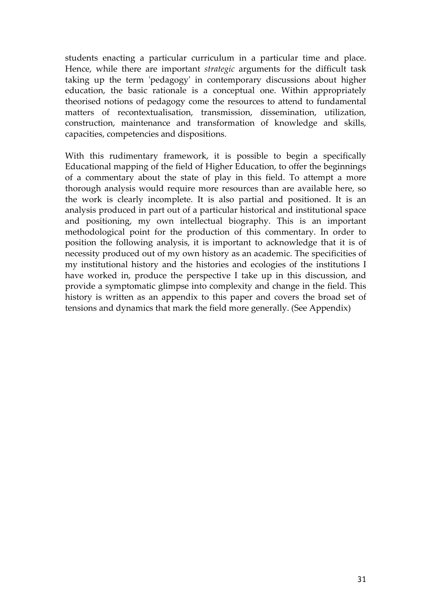students enacting a particular curriculum in a particular time and place. Hence, while there are important *strategic* arguments for the difficult task taking up the term 'pedagogy' in contemporary discussions about higher education, the basic rationale is a conceptual one. Within appropriately theorised notions of pedagogy come the resources to attend to fundamental matters of recontextualisation, transmission, dissemination, utilization, construction, maintenance and transformation of knowledge and skills, capacities, competencies and dispositions.

With this rudimentary framework, it is possible to begin a specifically Educational mapping of the field of Higher Education, to offer the beginnings of a commentary about the state of play in this field. To attempt a more thorough analysis would require more resources than are available here, so the work is clearly incomplete. It is also partial and positioned. It is an analysis produced in part out of a particular historical and institutional space and positioning, my own intellectual biography. This is an important methodological point for the production of this commentary. In order to position the following analysis, it is important to acknowledge that it is of necessity produced out of my own history as an academic. The specificities of my institutional history and the histories and ecologies of the institutions I have worked in, produce the perspective I take up in this discussion, and provide a symptomatic glimpse into complexity and change in the field. This history is written as an appendix to this paper and covers the broad set of tensions and dynamics that mark the field more generally. (See Appendix)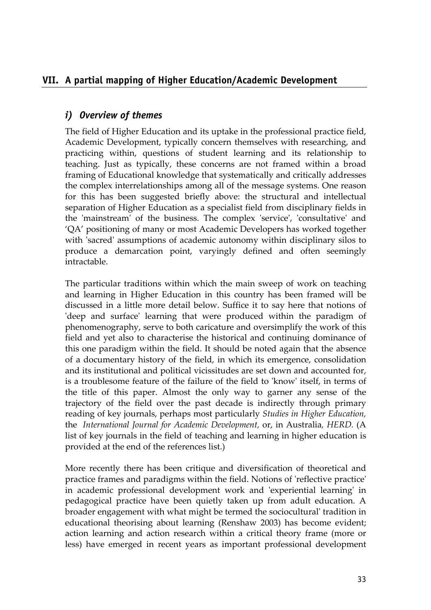# **VII. A partial mapping of Higher Education/Academic Development**

#### *i) Overview of themes*

The field of Higher Education and its uptake in the professional practice field, Academic Development, typically concern themselves with researching, and practicing within, questions of student learning and its relationship to teaching. Just as typically, these concerns are not framed within a broad framing of Educational knowledge that systematically and critically addresses the complex interrelationships among all of the message systems. One reason for this has been suggested briefly above: the structural and intellectual separation of Higher Education as a specialist field from disciplinary fields in the 'mainstream' of the business. The complex 'service', 'consultative' and 'QA' positioning of many or most Academic Developers has worked together with 'sacred' assumptions of academic autonomy within disciplinary silos to produce a demarcation point, varyingly defined and often seemingly intractable.

The particular traditions within which the main sweep of work on teaching and learning in Higher Education in this country has been framed will be discussed in a little more detail below. Suffice it to say here that notions of 'deep and surface' learning that were produced within the paradigm of phenomenography, serve to both caricature and oversimplify the work of this field and yet also to characterise the historical and continuing dominance of this one paradigm within the field. It should be noted again that the absence of a documentary history of the field, in which its emergence, consolidation and its institutional and political vicissitudes are set down and accounted for, is a troublesome feature of the failure of the field to 'know' itself, in terms of the title of this paper. Almost the only way to garner any sense of the trajectory of the field over the past decade is indirectly through primary reading of key journals, perhaps most particularly *Studies in Higher Education,*  the *International Journal for Academic Development,* or, in Australia*, HERD.* (A list of key journals in the field of teaching and learning in higher education is provided at the end of the references list.)

More recently there has been critique and diversification of theoretical and practice frames and paradigms within the field. Notions of 'reflective practice' in academic professional development work and 'experiential learning' in pedagogical practice have been quietly taken up from adult education. A broader engagement with what might be termed the sociocultural' tradition in educational theorising about learning (Renshaw 2003) has become evident; action learning and action research within a critical theory frame (more or less) have emerged in recent years as important professional development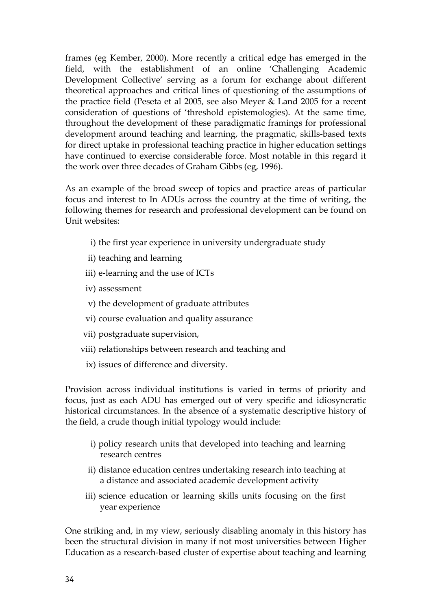frames (eg Kember, 2000). More recently a critical edge has emerged in the field, with the establishment of an online 'Challenging Academic Development Collective' serving as a forum for exchange about different theoretical approaches and critical lines of questioning of the assumptions of the practice field (Peseta et al 2005, see also Meyer & Land 2005 for a recent consideration of questions of 'threshold epistemologies). At the same time, throughout the development of these paradigmatic framings for professional development around teaching and learning, the pragmatic, skills-based texts for direct uptake in professional teaching practice in higher education settings have continued to exercise considerable force. Most notable in this regard it the work over three decades of Graham Gibbs (eg, 1996).

As an example of the broad sweep of topics and practice areas of particular focus and interest to In ADUs across the country at the time of writing, the following themes for research and professional development can be found on Unit websites:

- i) the first year experience in university undergraduate study
- ii) teaching and learning
- iii) e-learning and the use of ICTs
- iv) assessment
- v) the development of graduate attributes
- vi) course evaluation and quality assurance
- vii) postgraduate supervision,
- viii) relationships between research and teaching and
	- ix) issues of difference and diversity.

Provision across individual institutions is varied in terms of priority and focus, just as each ADU has emerged out of very specific and idiosyncratic historical circumstances. In the absence of a systematic descriptive history of the field, a crude though initial typology would include:

- i) policy research units that developed into teaching and learning research centres
- ii) distance education centres undertaking research into teaching at a distance and associated academic development activity
- iii) science education or learning skills units focusing on the first year experience

One striking and, in my view, seriously disabling anomaly in this history has been the structural division in many if not most universities between Higher Education as a research-based cluster of expertise about teaching and learning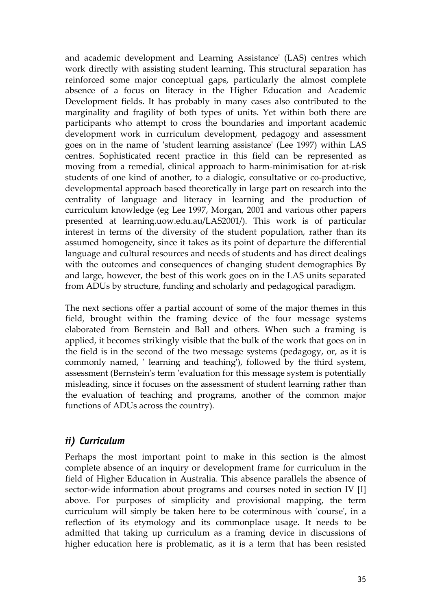and academic development and Learning Assistance' (LAS) centres which work directly with assisting student learning. This structural separation has reinforced some major conceptual gaps, particularly the almost complete absence of a focus on literacy in the Higher Education and Academic Development fields. It has probably in many cases also contributed to the marginality and fragility of both types of units. Yet within both there are participants who attempt to cross the boundaries and important academic development work in curriculum development, pedagogy and assessment goes on in the name of 'student learning assistance' (Lee 1997) within LAS centres. Sophisticated recent practice in this field can be represented as moving from a remedial, clinical approach to harm-minimisation for at-risk students of one kind of another, to a dialogic, consultative or co-productive, developmental approach based theoretically in large part on research into the centrality of language and literacy in learning and the production of curriculum knowledge (eg Lee 1997, Morgan, 2001 and various other papers presented at learning.uow.edu.au/LAS2001/). This work is of particular interest in terms of the diversity of the student population, rather than its assumed homogeneity, since it takes as its point of departure the differential language and cultural resources and needs of students and has direct dealings with the outcomes and consequences of changing student demographics By and large, however, the best of this work goes on in the LAS units separated from ADUs by structure, funding and scholarly and pedagogical paradigm.

The next sections offer a partial account of some of the major themes in this field, brought within the framing device of the four message systems elaborated from Bernstein and Ball and others. When such a framing is applied, it becomes strikingly visible that the bulk of the work that goes on in the field is in the second of the two message systems (pedagogy, or, as it is commonly named, ' learning and teaching'), followed by the third system, assessment (Bernstein's term 'evaluation for this message system is potentially misleading, since it focuses on the assessment of student learning rather than the evaluation of teaching and programs, another of the common major functions of ADUs across the country).

#### *ii) Curriculum*

Perhaps the most important point to make in this section is the almost complete absence of an inquiry or development frame for curriculum in the field of Higher Education in Australia. This absence parallels the absence of sector-wide information about programs and courses noted in section IV [I] above. For purposes of simplicity and provisional mapping, the term curriculum will simply be taken here to be coterminous with 'course', in a reflection of its etymology and its commonplace usage. It needs to be admitted that taking up curriculum as a framing device in discussions of higher education here is problematic, as it is a term that has been resisted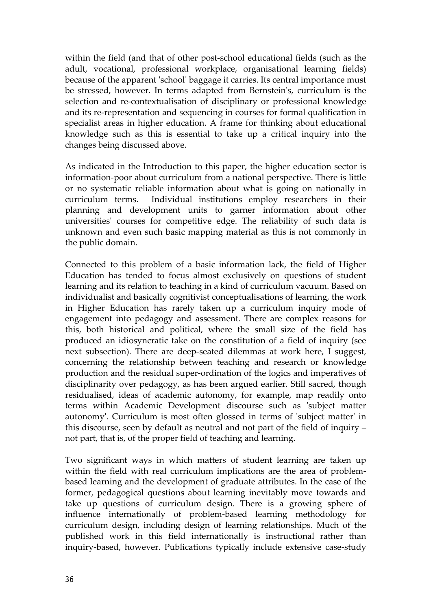within the field (and that of other post-school educational fields (such as the adult, vocational, professional workplace, organisational learning fields) because of the apparent 'school' baggage it carries. Its central importance must be stressed, however. In terms adapted from Bernstein's, curriculum is the selection and re-contextualisation of disciplinary or professional knowledge and its re-representation and sequencing in courses for formal qualification in specialist areas in higher education. A frame for thinking about educational knowledge such as this is essential to take up a critical inquiry into the changes being discussed above.

As indicated in the Introduction to this paper, the higher education sector is information-poor about curriculum from a national perspective. There is little or no systematic reliable information about what is going on nationally in curriculum terms. Individual institutions employ researchers in their planning and development units to garner information about other universities' courses for competitive edge. The reliability of such data is unknown and even such basic mapping material as this is not commonly in the public domain.

Connected to this problem of a basic information lack, the field of Higher Education has tended to focus almost exclusively on questions of student learning and its relation to teaching in a kind of curriculum vacuum. Based on individualist and basically cognitivist conceptualisations of learning, the work in Higher Education has rarely taken up a curriculum inquiry mode of engagement into pedagogy and assessment. There are complex reasons for this, both historical and political, where the small size of the field has produced an idiosyncratic take on the constitution of a field of inquiry (see next subsection). There are deep-seated dilemmas at work here, I suggest, concerning the relationship between teaching and research or knowledge production and the residual super-ordination of the logics and imperatives of disciplinarity over pedagogy, as has been argued earlier. Still sacred, though residualised, ideas of academic autonomy, for example, map readily onto terms within Academic Development discourse such as 'subject matter autonomy'. Curriculum is most often glossed in terms of 'subject matter' in this discourse, seen by default as neutral and not part of the field of inquiry – not part, that is, of the proper field of teaching and learning.

Two significant ways in which matters of student learning are taken up within the field with real curriculum implications are the area of problembased learning and the development of graduate attributes. In the case of the former, pedagogical questions about learning inevitably move towards and take up questions of curriculum design. There is a growing sphere of influence internationally of problem-based learning methodology for curriculum design, including design of learning relationships. Much of the published work in this field internationally is instructional rather than inquiry-based, however. Publications typically include extensive case-study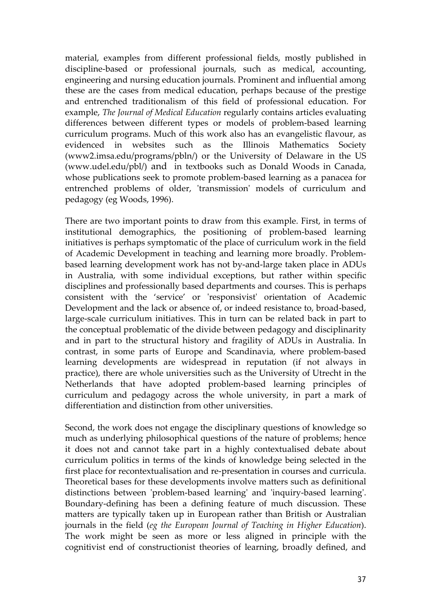material, examples from different professional fields, mostly published in discipline-based or professional journals, such as medical, accounting, engineering and nursing education journals. Prominent and influential among these are the cases from medical education, perhaps because of the prestige and entrenched traditionalism of this field of professional education. For example, *The Journal of Medical Education* regularly contains articles evaluating differences between different types or models of problem-based learning curriculum programs. Much of this work also has an evangelistic flavour, as evidenced in websites such as the Illinois Mathematics Society (www2.imsa.edu/programs/pbln/) or the University of Delaware in the US (www.udel.edu/pbl/) and in textbooks such as Donald Woods in Canada, whose publications seek to promote problem-based learning as a panacea for entrenched problems of older, 'transmission' models of curriculum and pedagogy (eg Woods, 1996).

There are two important points to draw from this example. First, in terms of institutional demographics, the positioning of problem-based learning initiatives is perhaps symptomatic of the place of curriculum work in the field of Academic Development in teaching and learning more broadly. Problembased learning development work has not by-and-large taken place in ADUs in Australia, with some individual exceptions, but rather within specific disciplines and professionally based departments and courses. This is perhaps consistent with the 'service' or 'responsivist' orientation of Academic Development and the lack or absence of, or indeed resistance to, broad-based, large-scale curriculum initiatives. This in turn can be related back in part to the conceptual problematic of the divide between pedagogy and disciplinarity and in part to the structural history and fragility of ADUs in Australia. In contrast, in some parts of Europe and Scandinavia, where problem-based learning developments are widespread in reputation (if not always in practice), there are whole universities such as the University of Utrecht in the Netherlands that have adopted problem-based learning principles of curriculum and pedagogy across the whole university, in part a mark of differentiation and distinction from other universities.

Second, the work does not engage the disciplinary questions of knowledge so much as underlying philosophical questions of the nature of problems; hence it does not and cannot take part in a highly contextualised debate about curriculum politics in terms of the kinds of knowledge being selected in the first place for recontextualisation and re-presentation in courses and curricula. Theoretical bases for these developments involve matters such as definitional distinctions between 'problem-based learning' and 'inquiry-based learning'. Boundary-defining has been a defining feature of much discussion. These matters are typically taken up in European rather than British or Australian journals in the field (*eg the European Journal of Teaching in Higher Education*). The work might be seen as more or less aligned in principle with the cognitivist end of constructionist theories of learning, broadly defined, and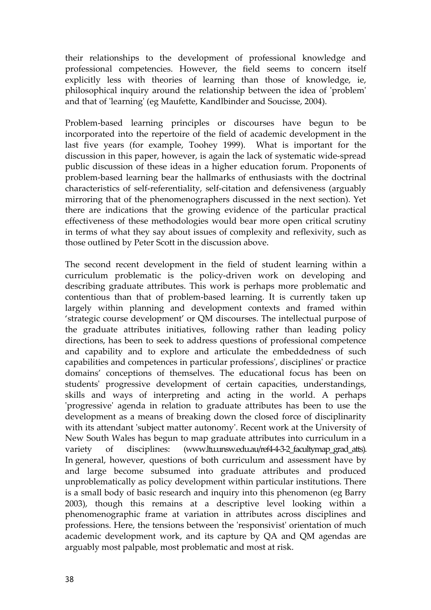their relationships to the development of professional knowledge and professional competencies. However, the field seems to concern itself explicitly less with theories of learning than those of knowledge, ie, philosophical inquiry around the relationship between the idea of 'problem' and that of 'learning' (eg Maufette, Kandlbinder and Soucisse, 2004).

Problem-based learning principles or discourses have begun to be incorporated into the repertoire of the field of academic development in the last five years (for example, Toohey 1999). What is important for the discussion in this paper, however, is again the lack of systematic wide-spread public discussion of these ideas in a higher education forum. Proponents of problem-based learning bear the hallmarks of enthusiasts with the doctrinal characteristics of self-referentiality, self-citation and defensiveness (arguably mirroring that of the phenomenographers discussed in the next section). Yet there are indications that the growing evidence of the particular practical effectiveness of these methodologies would bear more open critical scrutiny in terms of what they say about issues of complexity and reflexivity, such as those outlined by Peter Scott in the discussion above.

The second recent development in the field of student learning within a curriculum problematic is the policy-driven work on developing and describing graduate attributes. This work is perhaps more problematic and contentious than that of problem-based learning. It is currently taken up largely within planning and development contexts and framed within 'strategic course development' or QM discourses. The intellectual purpose of the graduate attributes initiatives, following rather than leading policy directions, has been to seek to address questions of professional competence and capability and to explore and articulate the embeddedness of such capabilities and competences in particular professions', disciplines' or practice domains' conceptions of themselves. The educational focus has been on students' progressive development of certain capacities, understandings, skills and ways of interpreting and acting in the world. A perhaps 'progressive' agenda in relation to graduate attributes has been to use the development as a means of breaking down the closed force of disciplinarity with its attendant 'subject matter autonomy'. Recent work at the University of New South Wales has begun to map graduate attributes into curriculum in a variety of disciplines: (www.ltu.unsw.edu.au/ref4-4-3-2\_facultymap\_grad\_atts). In general, however, questions of both curriculum and assessment have by and large become subsumed into graduate attributes and produced unproblematically as policy development within particular institutions. There is a small body of basic research and inquiry into this phenomenon (eg Barry 2003), though this remains at a descriptive level looking within a phenomenographic frame at variation in attributes across disciplines and professions. Here, the tensions between the 'responsivist' orientation of much academic development work, and its capture by QA and QM agendas are arguably most palpable, most problematic and most at risk.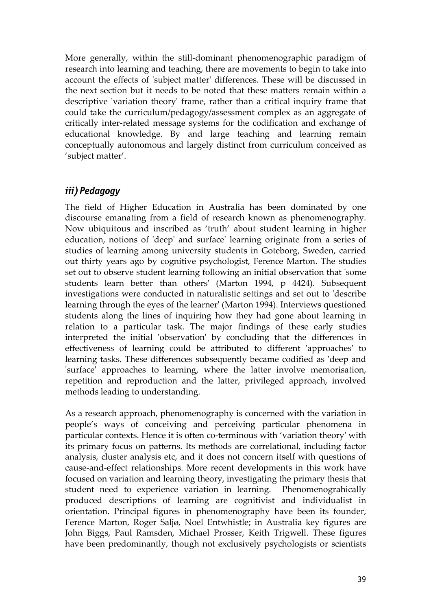More generally, within the still-dominant phenomenographic paradigm of research into learning and teaching, there are movements to begin to take into account the effects of 'subject matter' differences. These will be discussed in the next section but it needs to be noted that these matters remain within a descriptive 'variation theory' frame, rather than a critical inquiry frame that could take the curriculum/pedagogy/assessment complex as an aggregate of critically inter-related message systems for the codification and exchange of educational knowledge. By and large teaching and learning remain conceptually autonomous and largely distinct from curriculum conceived as 'subject matter'.

# *iii) Pedagogy*

The field of Higher Education in Australia has been dominated by one discourse emanating from a field of research known as phenomenography. Now ubiquitous and inscribed as 'truth' about student learning in higher education, notions of 'deep' and surface' learning originate from a series of studies of learning among university students in Goteborg, Sweden, carried out thirty years ago by cognitive psychologist, Ference Marton. The studies set out to observe student learning following an initial observation that 'some students learn better than others' (Marton 1994, p 4424). Subsequent investigations were conducted in naturalistic settings and set out to 'describe learning through the eyes of the learner' (Marton 1994). Interviews questioned students along the lines of inquiring how they had gone about learning in relation to a particular task. The major findings of these early studies interpreted the initial 'observation' by concluding that the differences in effectiveness of learning could be attributed to different 'approaches' to learning tasks. These differences subsequently became codified as 'deep and 'surface' approaches to learning, where the latter involve memorisation, repetition and reproduction and the latter, privileged approach, involved methods leading to understanding.

As a research approach, phenomenography is concerned with the variation in people's ways of conceiving and perceiving particular phenomena in particular contexts. Hence it is often co-terminous with 'variation theory' with its primary focus on patterns. Its methods are correlational, including factor analysis, cluster analysis etc, and it does not concern itself with questions of cause-and-effect relationships. More recent developments in this work have focused on variation and learning theory, investigating the primary thesis that student need to experience variation in learning. Phenomenograhically produced descriptions of learning are cognitivist and individualist in orientation. Principal figures in phenomenography have been its founder, Ference Marton, Roger Saljø, Noel Entwhistle; in Australia key figures are John Biggs, Paul Ramsden, Michael Prosser, Keith Trigwell. These figures have been predominantly, though not exclusively psychologists or scientists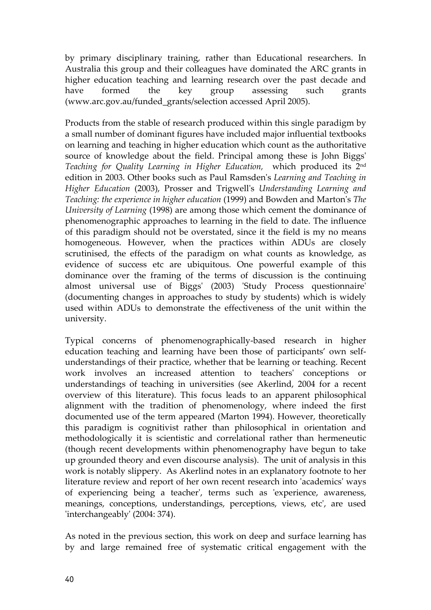by primary disciplinary training, rather than Educational researchers. In Australia this group and their colleagues have dominated the ARC grants in higher education teaching and learning research over the past decade and have formed the key group assessing such grants (www.arc.gov.au/funded\_grants/selection accessed April 2005).

Products from the stable of research produced within this single paradigm by a small number of dominant figures have included major influential textbooks on learning and teaching in higher education which count as the authoritative source of knowledge about the field. Principal among these is John Biggs' *Teaching for Quality Learning in Higher Education,* which produced its 2nd edition in 2003. Other books such as Paul Ramsden's *Learning and Teaching in Higher Education* (2003), Prosser and Trigwell's *Understanding Learning and Teaching: the experience in higher education* (1999) and Bowden and Marton's *The University of Learning* (1998) are among those which cement the dominance of phenomenographic approaches to learning in the field to date. The influence of this paradigm should not be overstated, since it the field is my no means homogeneous. However, when the practices within ADUs are closely scrutinised, the effects of the paradigm on what counts as knowledge, as evidence of success etc are ubiquitous. One powerful example of this dominance over the framing of the terms of discussion is the continuing almost universal use of Biggs' (2003) 'Study Process questionnaire' (documenting changes in approaches to study by students) which is widely used within ADUs to demonstrate the effectiveness of the unit within the university.

Typical concerns of phenomenographically-based research in higher education teaching and learning have been those of participants' own selfunderstandings of their practice, whether that be learning or teaching. Recent work involves an increased attention to teachers' conceptions or understandings of teaching in universities (see Akerlind, 2004 for a recent overview of this literature). This focus leads to an apparent philosophical alignment with the tradition of phenomenology, where indeed the first documented use of the term appeared (Marton 1994). However, theoretically this paradigm is cognitivist rather than philosophical in orientation and methodologically it is scientistic and correlational rather than hermeneutic (though recent developments within phenomenography have begun to take up grounded theory and even discourse analysis). The unit of analysis in this work is notably slippery. As Akerlind notes in an explanatory footnote to her literature review and report of her own recent research into 'academics' ways of experiencing being a teacher', terms such as 'experience, awareness, meanings, conceptions, understandings, perceptions, views, etc', are used 'interchangeably' (2004: 374).

As noted in the previous section, this work on deep and surface learning has by and large remained free of systematic critical engagement with the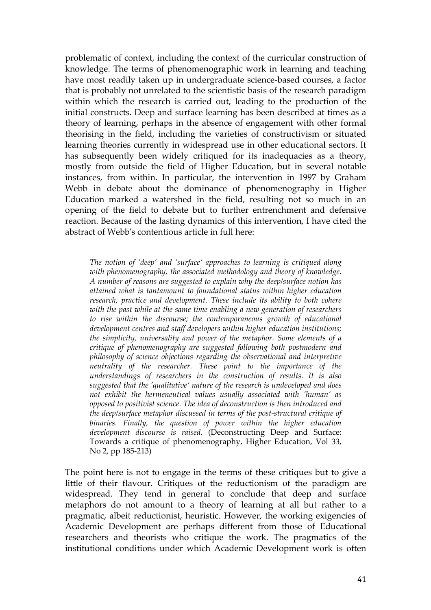problematic of context, including the context of the curricular construction of knowledge. The terms of phenomenographic work in learning and teaching have most readily taken up in undergraduate science-based courses, a factor that is probably not unrelated to the scientistic basis of the research paradigm within which the research is carried out, leading to the production of the initial constructs. Deep and surface learning has been described at times as a theory of learning, perhaps in the absence of engagement with other formal theorising in the field, including the varieties of constructivism or situated learning theories currently in widespread use in other educational sectors. It has subsequently been widely critiqued for its inadequacies as a theory, mostly from outside the field of Higher Education, but in several notable instances, from within. In particular, the intervention in 1997 by Graham Webb in debate about the dominance of phenomenography in Higher Education marked a watershed in the field, resulting not so much in an opening of the field to debate but to further entrenchment and defensive reaction. Because of the lasting dynamics of this intervention, I have cited the abstract of Webb's contentious article in full here:

*The notion of 'deep' and 'surface' approaches to learning is critiqued along with phenomenography, the associated methodology and theory of knowledge. A number of reasons are suggested to explain why the deep/surface notion has attained what is tantamount to foundational status within higher education research, practice and development. These include its ability to both cohere with the past while at the same time enabling a new generation of researchers to rise within the discourse; the contemporaneous growth of educational development centres and staff developers within higher education institutions; the simplicity, universality and power of the metaphor. Some elements of a critique of phenomenography are suggested following both postmodern and philosophy of science objections regarding the observational and interpretive neutrality of the researcher. These point to the importance of the understandings of researchers in the construction of results. It is also suggested that the 'qualitative' nature of the research is undeveloped and does not exhibit the hermeneutical values usually associated with 'human' as opposed to positivist science. The idea of deconstruction is then introduced and the deep/surface metaphor discussed in terms of the post-structural critique of binaries. Finally, the question of power within the higher education development discourse is raised.* (Deconstructing Deep and Surface: Towards a critique of phenomenography, Higher Education, Vol 33, No 2, pp 185-213)

The point here is not to engage in the terms of these critiques but to give a little of their flavour. Critiques of the reductionism of the paradigm are widespread. They tend in general to conclude that deep and surface metaphors do not amount to a theory of learning at all but rather to a pragmatic, albeit reductionist, heuristic. However, the working exigencies of Academic Development are perhaps different from those of Educational researchers and theorists who critique the work. The pragmatics of the institutional conditions under which Academic Development work is often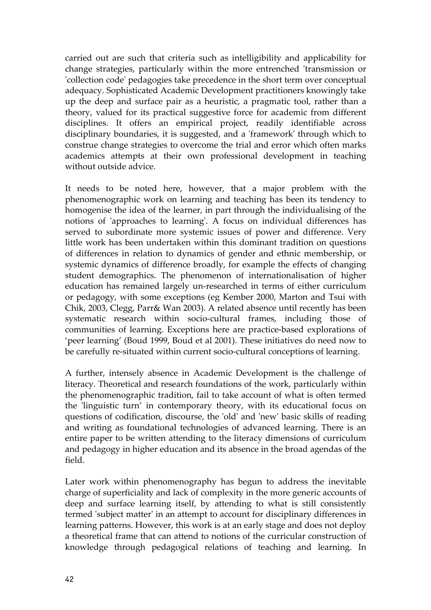carried out are such that criteria such as intelligibility and applicability for change strategies, particularly within the more entrenched 'transmission or 'collection code' pedagogies take precedence in the short term over conceptual adequacy. Sophisticated Academic Development practitioners knowingly take up the deep and surface pair as a heuristic, a pragmatic tool, rather than a theory, valued for its practical suggestive force for academic from different disciplines. It offers an empirical project, readily identifiable across disciplinary boundaries, it is suggested, and a 'framework' through which to construe change strategies to overcome the trial and error which often marks academics attempts at their own professional development in teaching without outside advice.

It needs to be noted here, however, that a major problem with the phenomenographic work on learning and teaching has been its tendency to homogenise the idea of the learner, in part through the individualising of the notions of 'approaches to learning'. A focus on individual differences has served to subordinate more systemic issues of power and difference. Very little work has been undertaken within this dominant tradition on questions of differences in relation to dynamics of gender and ethnic membership, or systemic dynamics of difference broadly, for example the effects of changing student demographics. The phenomenon of internationalisation of higher education has remained largely un-researched in terms of either curriculum or pedagogy, with some exceptions (eg Kember 2000, Marton and Tsui with Chik, 2003, Clegg, Parr& Wan 2003). A related absence until recently has been systematic research within socio-cultural frames, including those of communities of learning. Exceptions here are practice-based explorations of 'peer learning' (Boud 1999, Boud et al 2001). These initiatives do need now to be carefully re-situated within current socio-cultural conceptions of learning.

A further, intensely absence in Academic Development is the challenge of literacy. Theoretical and research foundations of the work, particularly within the phenomenographic tradition, fail to take account of what is often termed the 'linguistic turn' in contemporary theory, with its educational focus on questions of codification, discourse, the 'old' and 'new' basic skills of reading and writing as foundational technologies of advanced learning. There is an entire paper to be written attending to the literacy dimensions of curriculum and pedagogy in higher education and its absence in the broad agendas of the field.

Later work within phenomenography has begun to address the inevitable charge of superficiality and lack of complexity in the more generic accounts of deep and surface learning itself, by attending to what is still consistently termed 'subject matter' in an attempt to account for disciplinary differences in learning patterns. However, this work is at an early stage and does not deploy a theoretical frame that can attend to notions of the curricular construction of knowledge through pedagogical relations of teaching and learning. In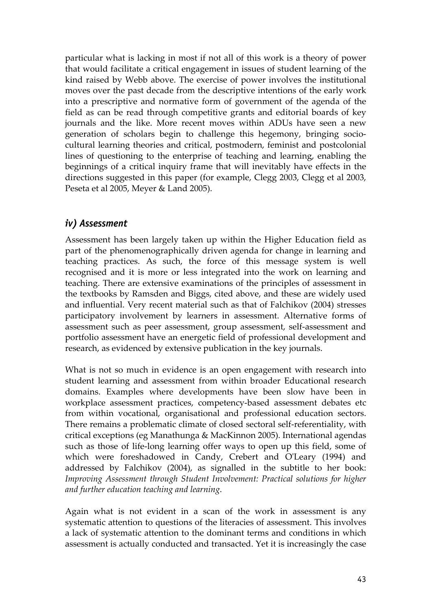particular what is lacking in most if not all of this work is a theory of power that would facilitate a critical engagement in issues of student learning of the kind raised by Webb above. The exercise of power involves the institutional moves over the past decade from the descriptive intentions of the early work into a prescriptive and normative form of government of the agenda of the field as can be read through competitive grants and editorial boards of key journals and the like. More recent moves within ADUs have seen a new generation of scholars begin to challenge this hegemony, bringing sociocultural learning theories and critical, postmodern, feminist and postcolonial lines of questioning to the enterprise of teaching and learning, enabling the beginnings of a critical inquiry frame that will inevitably have effects in the directions suggested in this paper (for example, Clegg 2003, Clegg et al 2003, Peseta et al 2005, Meyer & Land 2005).

## *iv) Assessment*

Assessment has been largely taken up within the Higher Education field as part of the phenomenographically driven agenda for change in learning and teaching practices. As such, the force of this message system is well recognised and it is more or less integrated into the work on learning and teaching. There are extensive examinations of the principles of assessment in the textbooks by Ramsden and Biggs, cited above, and these are widely used and influential. Very recent material such as that of Falchikov (2004) stresses participatory involvement by learners in assessment. Alternative forms of assessment such as peer assessment, group assessment, self-assessment and portfolio assessment have an energetic field of professional development and research, as evidenced by extensive publication in the key journals.

What is not so much in evidence is an open engagement with research into student learning and assessment from within broader Educational research domains. Examples where developments have been slow have been in workplace assessment practices, competency-based assessment debates etc from within vocational, organisational and professional education sectors. There remains a problematic climate of closed sectoral self-referentiality, with critical exceptions (eg Manathunga & MacKinnon 2005). International agendas such as those of life-long learning offer ways to open up this field, some of which were foreshadowed in Candy, Crebert and O'Leary (1994) and addressed by Falchikov (2004), as signalled in the subtitle to her book: *Improving Assessment through Student Involvement: Practical solutions for higher and further education teaching and learning*.

Again what is not evident in a scan of the work in assessment is any systematic attention to questions of the literacies of assessment. This involves a lack of systematic attention to the dominant terms and conditions in which assessment is actually conducted and transacted. Yet it is increasingly the case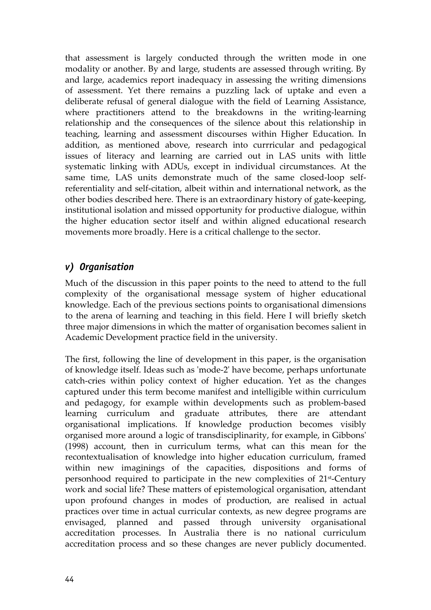that assessment is largely conducted through the written mode in one modality or another. By and large, students are assessed through writing. By and large, academics report inadequacy in assessing the writing dimensions of assessment. Yet there remains a puzzling lack of uptake and even a deliberate refusal of general dialogue with the field of Learning Assistance, where practitioners attend to the breakdowns in the writing-learning relationship and the consequences of the silence about this relationship in teaching, learning and assessment discourses within Higher Education. In addition, as mentioned above, research into currricular and pedagogical issues of literacy and learning are carried out in LAS units with little systematic linking with ADUs, except in individual circumstances. At the same time, LAS units demonstrate much of the same closed-loop selfreferentiality and self-citation, albeit within and international network, as the other bodies described here. There is an extraordinary history of gate-keeping, institutional isolation and missed opportunity for productive dialogue, within the higher education sector itself and within aligned educational research movements more broadly. Here is a critical challenge to the sector.

# *v) Organisation*

Much of the discussion in this paper points to the need to attend to the full complexity of the organisational message system of higher educational knowledge. Each of the previous sections points to organisational dimensions to the arena of learning and teaching in this field. Here I will briefly sketch three major dimensions in which the matter of organisation becomes salient in Academic Development practice field in the university.

The first, following the line of development in this paper, is the organisation of knowledge itself. Ideas such as 'mode-2' have become, perhaps unfortunate catch-cries within policy context of higher education. Yet as the changes captured under this term become manifest and intelligible within curriculum and pedagogy, for example within developments such as problem-based learning curriculum and graduate attributes, there are attendant organisational implications. If knowledge production becomes visibly organised more around a logic of transdisciplinarity, for example, in Gibbons' (1998) account, then in curriculum terms, what can this mean for the recontextualisation of knowledge into higher education curriculum, framed within new imaginings of the capacities, dispositions and forms of personhood required to participate in the new complexities of 21st-Century work and social life? These matters of epistemological organisation, attendant upon profound changes in modes of production, are realised in actual practices over time in actual curricular contexts, as new degree programs are envisaged, planned and passed through university organisational accreditation processes. In Australia there is no national curriculum accreditation process and so these changes are never publicly documented.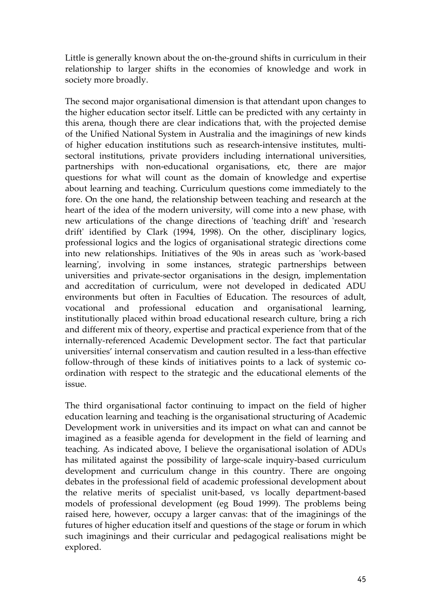Little is generally known about the on-the-ground shifts in curriculum in their relationship to larger shifts in the economies of knowledge and work in society more broadly.

The second major organisational dimension is that attendant upon changes to the higher education sector itself. Little can be predicted with any certainty in this arena, though there are clear indications that, with the projected demise of the Unified National System in Australia and the imaginings of new kinds of higher education institutions such as research-intensive institutes, multisectoral institutions, private providers including international universities, partnerships with non-educational organisations, etc, there are major questions for what will count as the domain of knowledge and expertise about learning and teaching. Curriculum questions come immediately to the fore. On the one hand, the relationship between teaching and research at the heart of the idea of the modern university, will come into a new phase, with new articulations of the change directions of 'teaching drift' and 'research drift' identified by Clark (1994, 1998). On the other, disciplinary logics, professional logics and the logics of organisational strategic directions come into new relationships. Initiatives of the 90s in areas such as 'work-based learning', involving in some instances, strategic partnerships between universities and private-sector organisations in the design, implementation and accreditation of curriculum, were not developed in dedicated ADU environments but often in Faculties of Education. The resources of adult, vocational and professional education and organisational learning, institutionally placed within broad educational research culture, bring a rich and different mix of theory, expertise and practical experience from that of the internally-referenced Academic Development sector. The fact that particular universities' internal conservatism and caution resulted in a less-than effective follow-through of these kinds of initiatives points to a lack of systemic coordination with respect to the strategic and the educational elements of the issue.

The third organisational factor continuing to impact on the field of higher education learning and teaching is the organisational structuring of Academic Development work in universities and its impact on what can and cannot be imagined as a feasible agenda for development in the field of learning and teaching. As indicated above, I believe the organisational isolation of ADUs has militated against the possibility of large-scale inquiry-based curriculum development and curriculum change in this country. There are ongoing debates in the professional field of academic professional development about the relative merits of specialist unit-based, vs locally department-based models of professional development (eg Boud 1999). The problems being raised here, however, occupy a larger canvas: that of the imaginings of the futures of higher education itself and questions of the stage or forum in which such imaginings and their curricular and pedagogical realisations might be explored.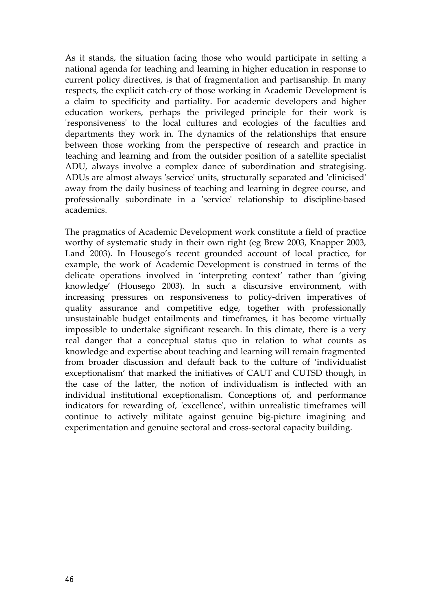As it stands, the situation facing those who would participate in setting a national agenda for teaching and learning in higher education in response to current policy directives, is that of fragmentation and partisanship. In many respects, the explicit catch-cry of those working in Academic Development is a claim to specificity and partiality. For academic developers and higher education workers, perhaps the privileged principle for their work is 'responsiveness' to the local cultures and ecologies of the faculties and departments they work in. The dynamics of the relationships that ensure between those working from the perspective of research and practice in teaching and learning and from the outsider position of a satellite specialist ADU, always involve a complex dance of subordination and strategising. ADUs are almost always 'service' units, structurally separated and 'clinicised' away from the daily business of teaching and learning in degree course, and professionally subordinate in a 'service' relationship to discipline-based academics.

The pragmatics of Academic Development work constitute a field of practice worthy of systematic study in their own right (eg Brew 2003, Knapper 2003, Land 2003). In Housego's recent grounded account of local practice, for example, the work of Academic Development is construed in terms of the delicate operations involved in 'interpreting context' rather than 'giving knowledge' (Housego 2003). In such a discursive environment, with increasing pressures on responsiveness to policy-driven imperatives of quality assurance and competitive edge, together with professionally unsustainable budget entailments and timeframes, it has become virtually impossible to undertake significant research. In this climate, there is a very real danger that a conceptual status quo in relation to what counts as knowledge and expertise about teaching and learning will remain fragmented from broader discussion and default back to the culture of 'individualist exceptionalism' that marked the initiatives of CAUT and CUTSD though, in the case of the latter, the notion of individualism is inflected with an individual institutional exceptionalism. Conceptions of, and performance indicators for rewarding of, 'excellence', within unrealistic timeframes will continue to actively militate against genuine big-picture imagining and experimentation and genuine sectoral and cross-sectoral capacity building.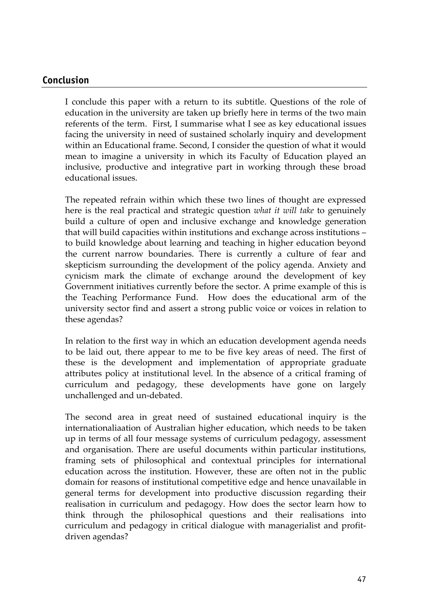#### **Conclusion**

I conclude this paper with a return to its subtitle. Questions of the role of education in the university are taken up briefly here in terms of the two main referents of the term. First, I summarise what I see as key educational issues facing the university in need of sustained scholarly inquiry and development within an Educational frame. Second, I consider the question of what it would mean to imagine a university in which its Faculty of Education played an inclusive, productive and integrative part in working through these broad educational issues.

The repeated refrain within which these two lines of thought are expressed here is the real practical and strategic question *what it will take* to genuinely build a culture of open and inclusive exchange and knowledge generation that will build capacities within institutions and exchange across institutions – to build knowledge about learning and teaching in higher education beyond the current narrow boundaries. There is currently a culture of fear and skepticism surrounding the development of the policy agenda. Anxiety and cynicism mark the climate of exchange around the development of key Government initiatives currently before the sector. A prime example of this is the Teaching Performance Fund. How does the educational arm of the university sector find and assert a strong public voice or voices in relation to these agendas?

In relation to the first way in which an education development agenda needs to be laid out, there appear to me to be five key areas of need. The first of these is the development and implementation of appropriate graduate attributes policy at institutional level. In the absence of a critical framing of curriculum and pedagogy, these developments have gone on largely unchallenged and un-debated.

The second area in great need of sustained educational inquiry is the internationaliaation of Australian higher education, which needs to be taken up in terms of all four message systems of curriculum pedagogy, assessment and organisation. There are useful documents within particular institutions, framing sets of philosophical and contextual principles for international education across the institution. However, these are often not in the public domain for reasons of institutional competitive edge and hence unavailable in general terms for development into productive discussion regarding their realisation in curriculum and pedagogy. How does the sector learn how to think through the philosophical questions and their realisations into curriculum and pedagogy in critical dialogue with managerialist and profitdriven agendas?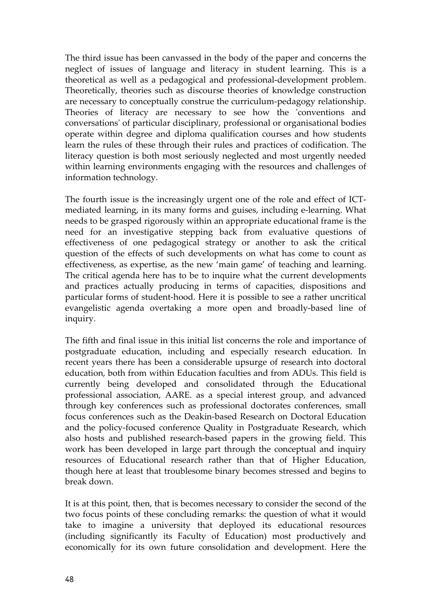The third issue has been canvassed in the body of the paper and concerns the neglect of issues of language and literacy in student learning. This is a theoretical as well as a pedagogical and professional-development problem. Theoretically, theories such as discourse theories of knowledge construction are necessary to conceptually construe the curriculum-pedagogy relationship. Theories of literacy are necessary to see how the 'conventions and conversations' of particular disciplinary, professional or organisational bodies operate within degree and diploma qualification courses and how students learn the rules of these through their rules and practices of codification. The literacy question is both most seriously neglected and most urgently needed within learning environments engaging with the resources and challenges of information technology.

The fourth issue is the increasingly urgent one of the role and effect of ICTmediated learning, in its many forms and guises, including e-learning. What needs to be grasped rigorously within an appropriate educational frame is the need for an investigative stepping back from evaluative questions of effectiveness of one pedagogical strategy or another to ask the critical question of the effects of such developments on what has come to count as effectiveness, as expertise, as the new 'main game' of teaching and learning. The critical agenda here has to be to inquire what the current developments and practices actually producing in terms of capacities, dispositions and particular forms of student-hood. Here it is possible to see a rather uncritical evangelistic agenda overtaking a more open and broadly-based line of inquiry.

The fifth and final issue in this initial list concerns the role and importance of postgraduate education, including and especially research education. In recent years there has been a considerable upsurge of research into doctoral education, both from within Education faculties and from ADUs. This field is currently being developed and consolidated through the Educational professional association, AARE. as a special interest group, and advanced through key conferences such as professional doctorates conferences, small focus conferences such as the Deakin-based Research on Doctoral Education and the policy-focused conference Quality in Postgraduate Research, which also hosts and published research-based papers in the growing field. This work has been developed in large part through the conceptual and inquiry resources of Educational research rather than that of Higher Education, though here at least that troublesome binary becomes stressed and begins to break down.

It is at this point, then, that is becomes necessary to consider the second of the two focus points of these concluding remarks: the question of what it would take to imagine a university that deployed its educational resources (including significantly its Faculty of Education) most productively and economically for its own future consolidation and development. Here the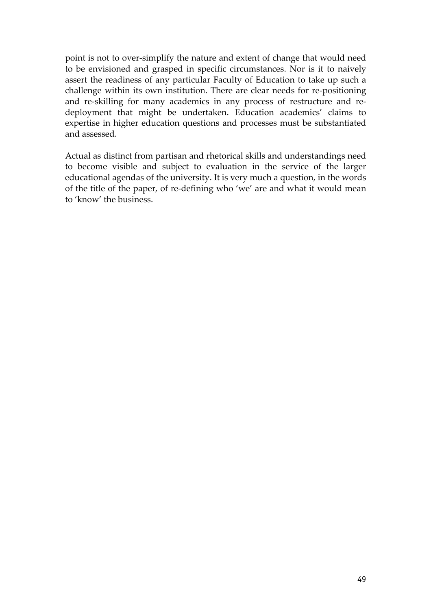point is not to over-simplify the nature and extent of change that would need to be envisioned and grasped in specific circumstances. Nor is it to naively assert the readiness of any particular Faculty of Education to take up such a challenge within its own institution. There are clear needs for re-positioning and re-skilling for many academics in any process of restructure and redeployment that might be undertaken. Education academics' claims to expertise in higher education questions and processes must be substantiated and assessed.

Actual as distinct from partisan and rhetorical skills and understandings need to become visible and subject to evaluation in the service of the larger educational agendas of the university. It is very much a question, in the words of the title of the paper, of re-defining who 'we' are and what it would mean to 'know' the business.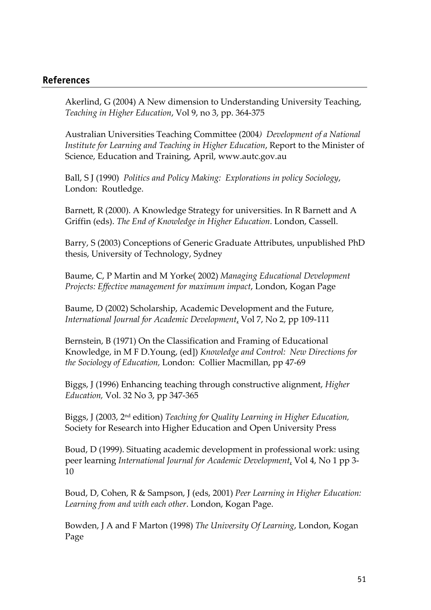#### **References**

Akerlind, G (2004) A New dimension to Understanding University Teaching, *Teaching in Higher Education*, Vol 9, no 3, pp. 364-375

Australian Universities Teaching Committee (2004*) Development of a National Institute for Learning and Teaching in Higher Education*, Report to the Minister of Science, Education and Training, April, www.autc.gov.au

Ball, S J (1990) *Politics and Policy Making: Explorations in policy Sociology*, London: Routledge.

Barnett, R (2000). A Knowledge Strategy for universities. In R Barnett and A Griffin (eds). *The End of Knowledge in Higher Education*. London, Cassell.

Barry, S (2003) Conceptions of Generic Graduate Attributes, unpublished PhD thesis, University of Technology, Sydney

Baume, C, P Martin and M Yorke( 2002) *Managing Educational Development Projects: Effective management for maximum impact*, London, Kogan Page

Baume, D (2002) Scholarship, Academic Development and the Future, *International Journal for Academic Development*, Vol 7, No 2, pp 109-111

Bernstein, B (1971) On the Classification and Framing of Educational Knowledge, in M F D.Young, (ed]) *Knowledge and Control: New Directions for the Sociology of Education,* London: Collier Macmillan, pp 47-69

Biggs, J (1996) Enhancing teaching through constructive alignment, *Higher Education,* Vol. 32 No 3, pp 347-365

Biggs, J (2003, 2nd edition) *Teaching for Quality Learning in Higher Education,*  Society for Research into Higher Education and Open University Press

Boud, D (1999). Situating academic development in professional work: using peer learning *International Journal for Academic Development*, Vol 4, No 1 pp 3- 10

Boud, D, Cohen, R & Sampson, J (eds, 2001) *Peer Learning in Higher Education: Learning from and with each other*. London, Kogan Page.

Bowden, J A and F Marton (1998) *The University Of Learning*, London, Kogan Page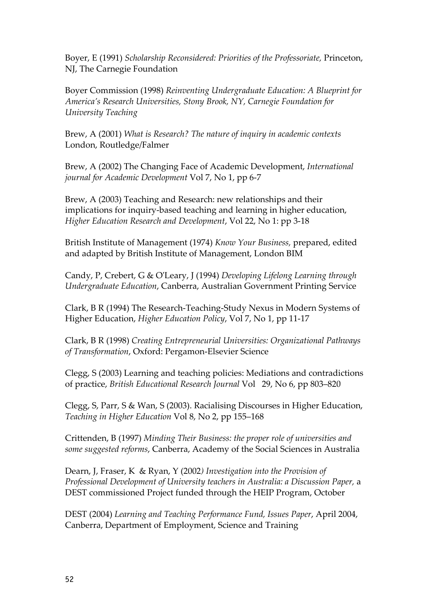Boyer, E (1991) *Scholarship Reconsidered: Priorities of the Professoriate,* Princeton, NJ, The Carnegie Foundation

Boyer Commission (1998) *Reinventing Undergraduate Education: A Blueprint for America's Research Universities, Stony Brook, NY, Carnegie Foundation for University Teaching* 

Brew, A (2001) *What is Research? The nature of inquiry in academic contexts* London, Routledge/Falmer

Brew, A (2002) The Changing Face of Academic Development, *International journal for Academic Development* Vol 7, No 1, pp 6-7

Brew, A (2003) Teaching and Research: new relationships and their implications for inquiry-based teaching and learning in higher education, *Higher Education Research and Development*, Vol 22, No 1: pp 3-18

British Institute of Management (1974) *Know Your Business,* prepared, edited and adapted by British Institute of Management, London BIM

Candy, P, Crebert, G & O'Leary, J (1994) *Developing Lifelong Learning through Undergraduate Education*, Canberra, Australian Government Printing Service

Clark, B R (1994) The Research-Teaching-Study Nexus in Modern Systems of Higher Education, *Higher Education Policy*, Vol 7, No 1, pp 11-17

Clark, B R (1998) *Creating Entrepreneurial Universities: Organizational Pathways of Transformation*, Oxford: Pergamon-Elsevier Science

Clegg, S (2003) Learning and teaching policies: Mediations and contradictions of practice, *British Educational Research Journal* Vol 29, No 6, pp 803–820

Clegg, S, Parr, S & Wan, S (2003). Racialising Discourses in Higher Education, *Teaching in Higher Education* Vol 8, No 2, pp 155–168

Crittenden, B (1997) *Minding Their Business: the proper role of universities and some suggested reforms*, Canberra, Academy of the Social Sciences in Australia

Dearn, J, Fraser, K & Ryan, Y (2002*) Investigation into the Provision of Professional Development of University teachers in Australia: a Discussion Paper,* a DEST commissioned Project funded through the HEIP Program, October

DEST (2004) *Learning and Teaching Performance Fund, Issues Paper*, April 2004, Canberra, Department of Employment, Science and Training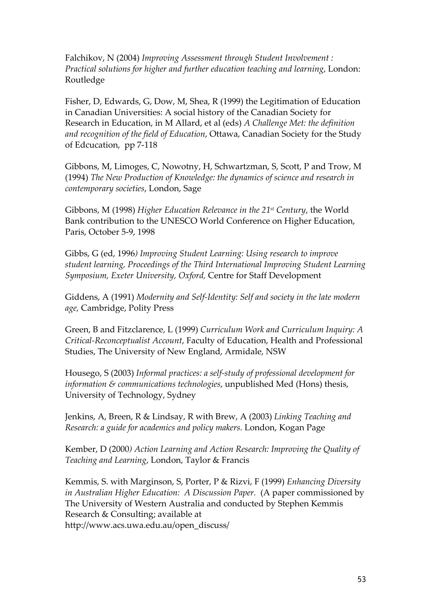Falchikov, N (2004) *Improving Assessment through Student Involvement : Practical solutions for higher and further education teaching and learning*, London: Routledge

Fisher, D, Edwards, G, Dow, M, Shea, R (1999) the Legitimation of Education in Canadian Universities: A social history of the Canadian Society for Research in Education, in M Allard, et al (eds) *A Challenge Met: the definition and recognition of the field of Education*, Ottawa, Canadian Society for the Study of Edcucation, pp 7-118

Gibbons, M, Limoges, C, Nowotny, H, Schwartzman, S, Scott, P and Trow, M (1994) *The New Production of Knowledge: the dynamics of science and research in contemporary societies*, London, Sage

Gibbons, M (1998) *Higher Education Relevance in the 21st Century*, the World Bank contribution to the UNESCO World Conference on Higher Education, Paris, October 5-9, 1998

Gibbs, G (ed, 1996*) Improving Student Learning: Using research to improve student learning, Proceedings of the Third International Improving Student Learning Symposium, Exeter University, Oxford,* Centre for Staff Development

Giddens, A (1991) *Modernity and Self-Identity: Self and society in the late modern age,* Cambridge, Polity Press

Green, B and Fitzclarence, L (1999) *Curriculum Work and Curriculum Inquiry: A Critical-Reconceptualist Account*, Faculty of Education, Health and Professional Studies, The University of New England, Armidale, NSW

Housego, S (2003) *Informal practices: a self-study of professional development for information & communications technologies*, unpublished Med (Hons) thesis, University of Technology, Sydney

Jenkins, A, Breen, R & Lindsay, R with Brew, A (2003) *Linking Teaching and Research: a guide for academics and policy makers.* London, Kogan Page

Kember, D (2000*) Action Learning and Action Research: Improving the Quality of Teaching and Learning*, London, Taylor & Francis

Kemmis, S. with Marginson, S, Porter, P & Rizvi, F (1999) *Enhancing Diversity in Australian Higher Education: A Discussion Paper.* (A paper commissioned by The University of Western Australia and conducted by Stephen Kemmis Research & Consulting; available at http://www.acs.uwa.edu.au/open\_discuss/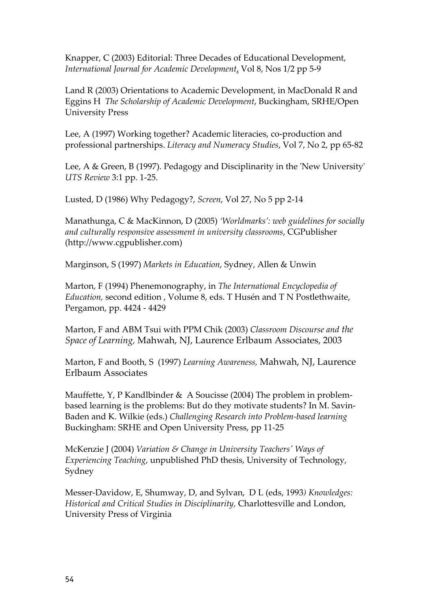Knapper, C (2003) Editorial: Three Decades of Educational Development, *International Journal for Academic Development*, Vol 8, Nos 1/2 pp 5-9

Land R (2003) Orientations to Academic Development, in MacDonald R and Eggins H *The Scholarship of Academic Development*, Buckingham, SRHE/Open University Press

Lee, A (1997) Working together? Academic literacies, co-production and professional partnerships. *Literacy and Numeracy Studies*, Vol 7, No 2, pp 65-82

Lee, A & Green, B (1997). Pedagogy and Disciplinarity in the 'New University' *UTS Review* 3:1 pp. 1-25.

Lusted, D (1986) Why Pedagogy?, *Screen*, Vol 27, No 5 pp 2-14

Manathunga, C & MacKinnon, D (2005) *'Worldmarks': web guidelines for socially and culturally responsive assessment in university classrooms*, CGPublisher (http://www.cgpublisher.com)

Marginson, S (1997) *Markets in Education*, Sydney, Allen & Unwin

Marton, F (1994) Phenemonography, in *The International Encyclopedia of Education,* second edition , Volume 8, eds. T Husén and T N Postlethwaite, Pergamon, pp. 4424 - 4429

Marton, F and ABM Tsui with PPM Chik (2003) *Classroom Discourse and the Space of Learning,* Mahwah, NJ, Laurence Erlbaum Associates, 2003

Marton, F and Booth, S (1997) *Learning Awareness,* Mahwah, NJ, Laurence Erlbaum Associates

Mauffette, Y, P Kandlbinder & A Soucisse (2004) The problem in problembased learning is the problems: But do they motivate students? In M. Savin-Baden and K. Wilkie (eds.) *Challenging Research into Problem-based learning* Buckingham: SRHE and Open University Press, pp 11-25

McKenzie J (2004) *Variation & Change in University Teachers' Ways of Experiencing Teaching*, unpublished PhD thesis, University of Technology, Sydney

Messer-Davidow, E, Shumway, D, and Sylvan, D L (eds, 1993*) Knowledges: Historical and Critical Studies in Disciplinarity,* Charlottesville and London, University Press of Virginia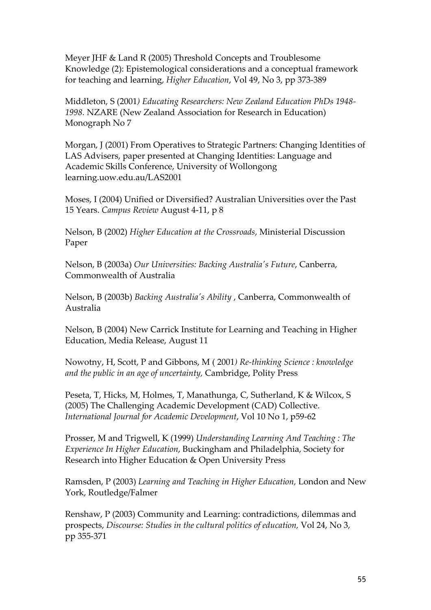Meyer JHF & Land R (2005) Threshold Concepts and Troublesome Knowledge (2): Epistemological considerations and a conceptual framework for teaching and learning, *Higher Education*, Vol 49, No 3, pp 373-389

Middleton, S (2001*) Educating Researchers: New Zealand Education PhDs 1948- 1998.* NZARE (New Zealand Association for Research in Education) Monograph No 7

Morgan, J (2001) From Operatives to Strategic Partners: Changing Identities of LAS Advisers, paper presented at Changing Identities: Language and Academic Skills Conference, University of Wollongong learning.uow.edu.au/LAS2001

Moses, I (2004) Unified or Diversified? Australian Universities over the Past 15 Years. *Campus Review* August 4-11, p 8

Nelson, B (2002) *Higher Education at the Crossroads*, Ministerial Discussion Paper

Nelson, B (2003a) *Our Universities: Backing Australia's Future*, Canberra, Commonwealth of Australia

Nelson, B (2003b) *Backing Australia's Ability* , Canberra, Commonwealth of Australia

Nelson, B (2004) New Carrick Institute for Learning and Teaching in Higher Education, Media Release, August 11

Nowotny, H, Scott, P and Gibbons, M ( 2001*) Re-thinking Science : knowledge and the public in an age of uncertainty,* Cambridge, Polity Press

Peseta, T, Hicks, M, Holmes, T, Manathunga, C, Sutherland, K & Wilcox, S (2005) The Challenging Academic Development (CAD) Collective. *International Journal for Academic Development*, Vol 10 No 1, p59-62

Prosser, M and Trigwell, K (1999) *Understanding Learning And Teaching : The Experience In Higher Education*, Buckingham and Philadelphia, Society for Research into Higher Education & Open University Press

Ramsden, P (2003) *Learning and Teaching in Higher Education,* London and New York, Routledge/Falmer

Renshaw, P (2003) Community and Learning: contradictions, dilemmas and prospects, *Discourse: Studies in the cultural politics of education,* Vol 24, No 3, pp 355-371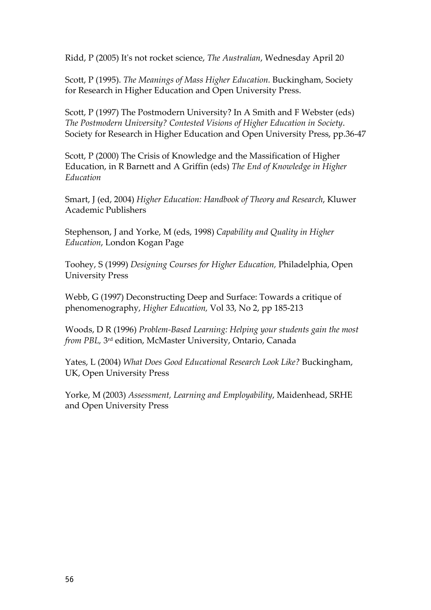Ridd, P (2005) It's not rocket science, *The Australian*, Wednesday April 20

Scott, P (1995). *The Meanings of Mass Higher Education.* Buckingham, Society for Research in Higher Education and Open University Press.

Scott, P (1997) The Postmodern University? In A Smith and F Webster (eds) *The Postmodern University? Contested Visions of Higher Education in Society*. Society for Research in Higher Education and Open University Press, pp.36-47

Scott, P (2000) The Crisis of Knowledge and the Massification of Higher Education, in R Barnett and A Griffin (eds) *The End of Knowledge in Higher Education* 

Smart, J (ed, 2004) *Higher Education: Handbook of Theory and Research*, Kluwer Academic Publishers

Stephenson, J and Yorke, M (eds, 1998) *Capability and Quality in Higher Education*, London Kogan Page

Toohey, S (1999) *Designing Courses for Higher Education,* Philadelphia, Open University Press

Webb, G (1997) Deconstructing Deep and Surface: Towards a critique of phenomenography, *Higher Education,* Vol 33, No 2, pp 185-213

Woods, D R (1996) *Problem-Based Learning: Helping your students gain the most from PBL,* 3rd edition, McMaster University, Ontario, Canada

Yates, L (2004) *What Does Good Educational Research Look Like?* Buckingham, UK, Open University Press

Yorke, M (2003) *Assessment, Learning and Employability*, Maidenhead, SRHE and Open University Press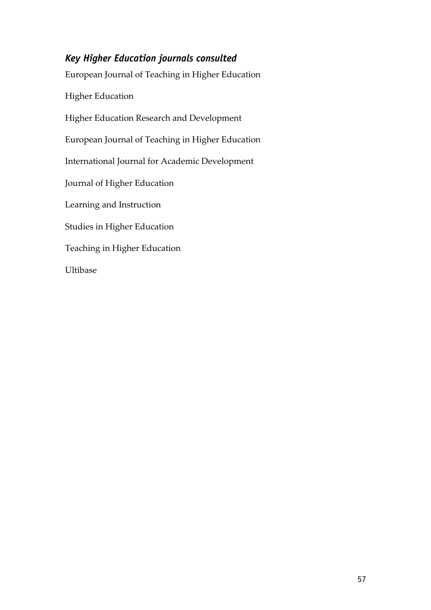# *Key Higher Education journals consulted*

European Journal of Teaching in Higher Education Higher Education Higher Education Research and Development European Journal of Teaching in Higher Education International Journal for Academic Development Journal of Higher Education Learning and Instruction Studies in Higher Education Teaching in Higher Education Ultibase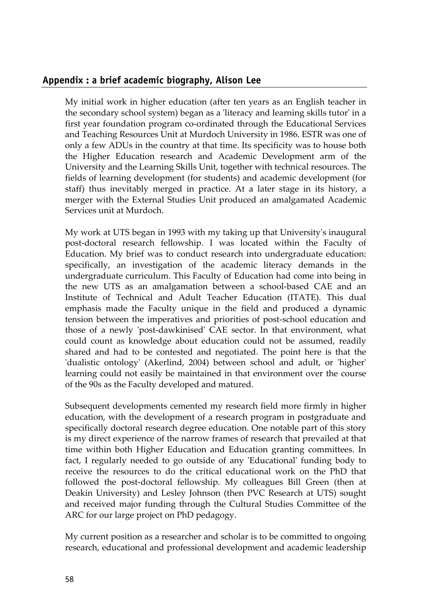#### **Appendix : a brief academic biography, Alison Lee**

My initial work in higher education (after ten years as an English teacher in the secondary school system) began as a 'literacy and learning skills tutor' in a first year foundation program co-ordinated through the Educational Services and Teaching Resources Unit at Murdoch University in 1986. ESTR was one of only a few ADUs in the country at that time. Its specificity was to house both the Higher Education research and Academic Development arm of the University and the Learning Skills Unit, together with technical resources. The fields of learning development (for students) and academic development (for staff) thus inevitably merged in practice. At a later stage in its history, a merger with the External Studies Unit produced an amalgamated Academic Services unit at Murdoch.

My work at UTS began in 1993 with my taking up that University's inaugural post-doctoral research fellowship. I was located within the Faculty of Education. My brief was to conduct research into undergraduate education: specifically, an investigation of the academic literacy demands in the undergraduate curriculum. This Faculty of Education had come into being in the new UTS as an amalgamation between a school-based CAE and an Institute of Technical and Adult Teacher Education (ITATE). This dual emphasis made the Faculty unique in the field and produced a dynamic tension between the imperatives and priorities of post-school education and those of a newly 'post-dawkinised' CAE sector. In that environment, what could count as knowledge about education could not be assumed, readily shared and had to be contested and negotiated. The point here is that the 'dualistic ontology' (Akerlind, 2004) between school and adult, or 'higher' learning could not easily be maintained in that environment over the course of the 90s as the Faculty developed and matured.

Subsequent developments cemented my research field more firmly in higher education, with the development of a research program in postgraduate and specifically doctoral research degree education. One notable part of this story is my direct experience of the narrow frames of research that prevailed at that time within both Higher Education and Education granting committees. In fact, I regularly needed to go outside of any 'Educational' funding body to receive the resources to do the critical educational work on the PhD that followed the post-doctoral fellowship. My colleagues Bill Green (then at Deakin University) and Lesley Johnson (then PVC Research at UTS) sought and received major funding through the Cultural Studies Committee of the ARC for our large project on PhD pedagogy.

My current position as a researcher and scholar is to be committed to ongoing research, educational and professional development and academic leadership